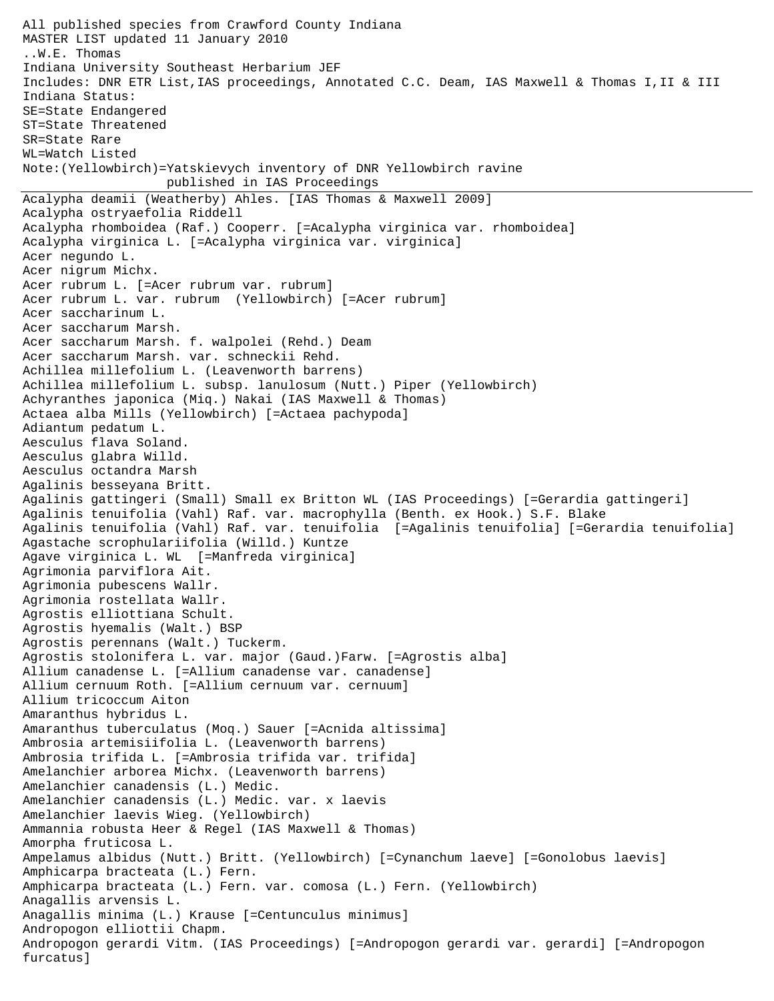All published species from Crawford County Indiana MASTER LIST updated 11 January 2010 ..W.E. Thomas Indiana University Southeast Herbarium JEF Includes: DNR ETR List,IAS proceedings, Annotated C.C. Deam, IAS Maxwell & Thomas I,II & III Indiana Status: SE=State Endangered ST=State Threatened SR=State Rare WL=Watch Listed Note:(Yellowbirch)=Yatskievych inventory of DNR Yellowbirch ravine published in IAS Proceedings Acalypha deamii (Weatherby) Ahles. [IAS Thomas & Maxwell 2009] Acalypha ostryaefolia Riddell Acalypha rhomboidea (Raf.) Cooperr. [=Acalypha virginica var. rhomboidea] Acalypha virginica L. [=Acalypha virginica var. virginica] Acer negundo L. Acer nigrum Michx. Acer rubrum L. [=Acer rubrum var. rubrum] Acer rubrum L. var. rubrum (Yellowbirch) [=Acer rubrum] Acer saccharinum L. Acer saccharum Marsh. Acer saccharum Marsh. f. walpolei (Rehd.) Deam Acer saccharum Marsh. var. schneckii Rehd. Achillea millefolium L. (Leavenworth barrens) Achillea millefolium L. subsp. lanulosum (Nutt.) Piper (Yellowbirch) Achyranthes japonica (Miq.) Nakai (IAS Maxwell & Thomas) Actaea alba Mills (Yellowbirch) [=Actaea pachypoda] Adiantum pedatum L. Aesculus flava Soland. Aesculus glabra Willd. Aesculus octandra Marsh Agalinis besseyana Britt. Agalinis gattingeri (Small) Small ex Britton WL (IAS Proceedings) [=Gerardia gattingeri] Agalinis tenuifolia (Vahl) Raf. var. macrophylla (Benth. ex Hook.) S.F. Blake Agalinis tenuifolia (Vahl) Raf. var. tenuifolia [=Agalinis tenuifolia] [=Gerardia tenuifolia] Agastache scrophulariifolia (Willd.) Kuntze Agave virginica L. WL [=Manfreda virginica] Agrimonia parviflora Ait. Agrimonia pubescens Wallr. Agrimonia rostellata Wallr. Agrostis elliottiana Schult. Agrostis hyemalis (Walt.) BSP Agrostis perennans (Walt.) Tuckerm. Agrostis stolonifera L. var. major (Gaud.)Farw. [=Agrostis alba] Allium canadense L. [=Allium canadense var. canadense] Allium cernuum Roth. [=Allium cernuum var. cernuum] Allium tricoccum Aiton Amaranthus hybridus L. Amaranthus tuberculatus (Moq.) Sauer [=Acnida altissima] Ambrosia artemisiifolia L. (Leavenworth barrens) Ambrosia trifida L. [=Ambrosia trifida var. trifida] Amelanchier arborea Michx. (Leavenworth barrens) Amelanchier canadensis (L.) Medic. Amelanchier canadensis (L.) Medic. var. x laevis Amelanchier laevis Wieg. (Yellowbirch) Ammannia robusta Heer & Regel (IAS Maxwell & Thomas) Amorpha fruticosa L. Ampelamus albidus (Nutt.) Britt. (Yellowbirch) [=Cynanchum laeve] [=Gonolobus laevis] Amphicarpa bracteata (L.) Fern. Amphicarpa bracteata (L.) Fern. var. comosa (L.) Fern. (Yellowbirch) Anagallis arvensis L. Anagallis minima (L.) Krause [=Centunculus minimus] Andropogon elliottii Chapm. Andropogon gerardi Vitm. (IAS Proceedings) [=Andropogon gerardi var. gerardi] [=Andropogon furcatus]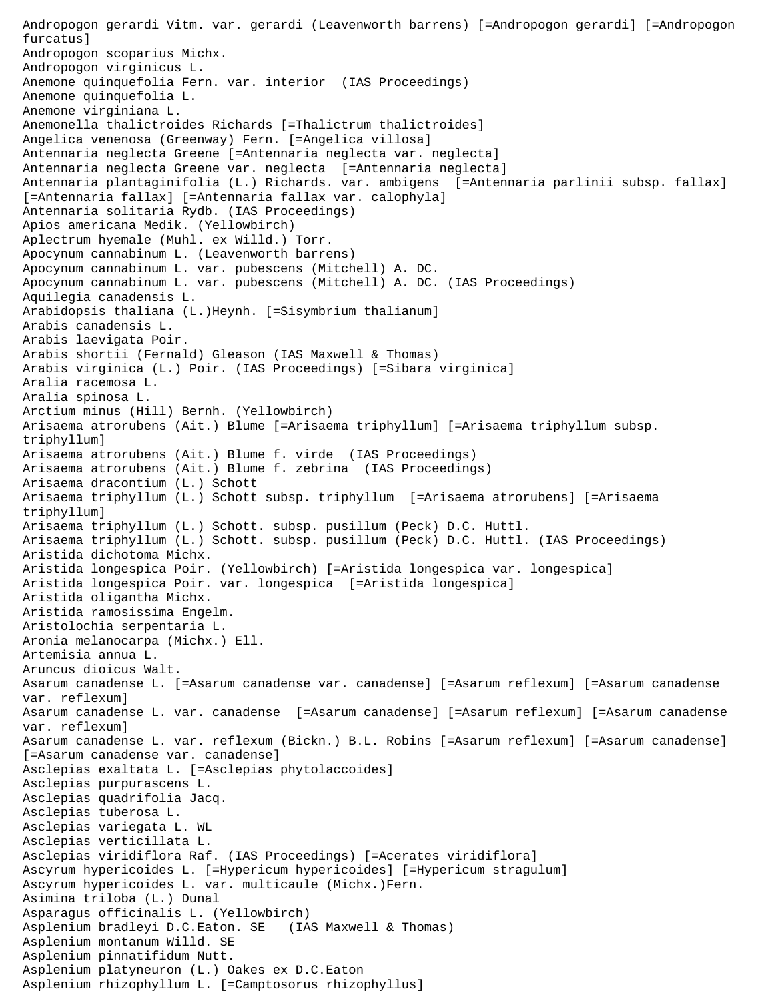Andropogon gerardi Vitm. var. gerardi (Leavenworth barrens) [=Andropogon gerardi] [=Andropogon furcatus] Andropogon scoparius Michx. Andropogon virginicus L. Anemone quinquefolia Fern. var. interior (IAS Proceedings) Anemone quinquefolia L. Anemone virginiana L. Anemonella thalictroides Richards [=Thalictrum thalictroides] Angelica venenosa (Greenway) Fern. [=Angelica villosa] Antennaria neglecta Greene [=Antennaria neglecta var. neglecta] Antennaria neglecta Greene var. neglecta [=Antennaria neglecta] Antennaria plantaginifolia (L.) Richards. var. ambigens [=Antennaria parlinii subsp. fallax] [=Antennaria fallax] [=Antennaria fallax var. calophyla] Antennaria solitaria Rydb. (IAS Proceedings) Apios americana Medik. (Yellowbirch) Aplectrum hyemale (Muhl. ex Willd.) Torr. Apocynum cannabinum L. (Leavenworth barrens) Apocynum cannabinum L. var. pubescens (Mitchell) A. DC. Apocynum cannabinum L. var. pubescens (Mitchell) A. DC. (IAS Proceedings) Aquilegia canadensis L. Arabidopsis thaliana (L.)Heynh. [=Sisymbrium thalianum] Arabis canadensis L. Arabis laevigata Poir. Arabis shortii (Fernald) Gleason (IAS Maxwell & Thomas) Arabis virginica (L.) Poir. (IAS Proceedings) [=Sibara virginica] Aralia racemosa L. Aralia spinosa L. Arctium minus (Hill) Bernh. (Yellowbirch) Arisaema atrorubens (Ait.) Blume [=Arisaema triphyllum] [=Arisaema triphyllum subsp. triphyllum] Arisaema atrorubens (Ait.) Blume f. virde (IAS Proceedings) Arisaema atrorubens (Ait.) Blume f. zebrina (IAS Proceedings) Arisaema dracontium (L.) Schott Arisaema triphyllum (L.) Schott subsp. triphyllum [=Arisaema atrorubens] [=Arisaema triphyllum] Arisaema triphyllum (L.) Schott. subsp. pusillum (Peck) D.C. Huttl. Arisaema triphyllum (L.) Schott. subsp. pusillum (Peck) D.C. Huttl. (IAS Proceedings) Aristida dichotoma Michx. Aristida longespica Poir. (Yellowbirch) [=Aristida longespica var. longespica] Aristida longespica Poir. var. longespica [=Aristida longespica] Aristida oligantha Michx. Aristida ramosissima Engelm. Aristolochia serpentaria L. Aronia melanocarpa (Michx.) Ell. Artemisia annua L. Aruncus dioicus Walt. Asarum canadense L. [=Asarum canadense var. canadense] [=Asarum reflexum] [=Asarum canadense var. reflexum] Asarum canadense L. var. canadense [=Asarum canadense] [=Asarum reflexum] [=Asarum canadense var. reflexum] Asarum canadense L. var. reflexum (Bickn.) B.L. Robins [=Asarum reflexum] [=Asarum canadense] [=Asarum canadense var. canadense] Asclepias exaltata L. [=Asclepias phytolaccoides] Asclepias purpurascens L. Asclepias quadrifolia Jacq. Asclepias tuberosa L. Asclepias variegata L. WL Asclepias verticillata L. Asclepias viridiflora Raf. (IAS Proceedings) [=Acerates viridiflora] Ascyrum hypericoides L. [=Hypericum hypericoides] [=Hypericum stragulum] Ascyrum hypericoides L. var. multicaule (Michx.)Fern. Asimina triloba (L.) Dunal Asparagus officinalis L. (Yellowbirch) Asplenium bradleyi D.C.Eaton. SE (IAS Maxwell & Thomas) Asplenium montanum Willd. SE Asplenium pinnatifidum Nutt. Asplenium platyneuron (L.) Oakes ex D.C.Eaton Asplenium rhizophyllum L. [=Camptosorus rhizophyllus]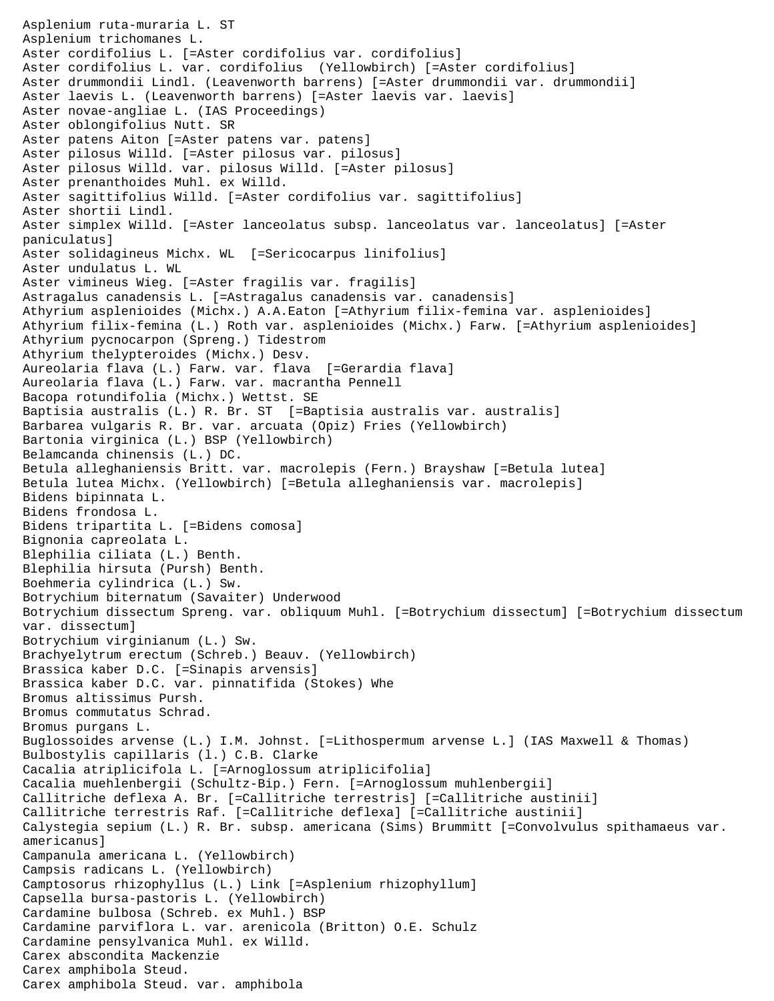Asplenium ruta-muraria L. ST Asplenium trichomanes L. Aster cordifolius L. [=Aster cordifolius var. cordifolius] Aster cordifolius L. var. cordifolius (Yellowbirch) [=Aster cordifolius] Aster drummondii Lindl. (Leavenworth barrens) [=Aster drummondii var. drummondii] Aster laevis L. (Leavenworth barrens) [=Aster laevis var. laevis] Aster novae-angliae L. (IAS Proceedings) Aster oblongifolius Nutt. SR Aster patens Aiton [=Aster patens var. patens] Aster pilosus Willd. [=Aster pilosus var. pilosus] Aster pilosus Willd. var. pilosus Willd. [=Aster pilosus] Aster prenanthoides Muhl. ex Willd. Aster sagittifolius Willd. [=Aster cordifolius var. sagittifolius] Aster shortii Lindl. Aster simplex Willd. [=Aster lanceolatus subsp. lanceolatus var. lanceolatus] [=Aster paniculatus] Aster solidagineus Michx. WL [=Sericocarpus linifolius] Aster undulatus L. WL Aster vimineus Wieg. [=Aster fragilis var. fragilis] Astragalus canadensis L. [=Astragalus canadensis var. canadensis] Athyrium asplenioides (Michx.) A.A.Eaton [=Athyrium filix-femina var. asplenioides] Athyrium filix-femina (L.) Roth var. asplenioides (Michx.) Farw. [=Athyrium asplenioides] Athyrium pycnocarpon (Spreng.) Tidestrom Athyrium thelypteroides (Michx.) Desv. Aureolaria flava (L.) Farw. var. flava [=Gerardia flava] Aureolaria flava (L.) Farw. var. macrantha Pennell Bacopa rotundifolia (Michx.) Wettst. SE Baptisia australis (L.) R. Br. ST [=Baptisia australis var. australis] Barbarea vulgaris R. Br. var. arcuata (Opiz) Fries (Yellowbirch) Bartonia virginica (L.) BSP (Yellowbirch) Belamcanda chinensis (L.) DC. Betula alleghaniensis Britt. var. macrolepis (Fern.) Brayshaw [=Betula lutea] Betula lutea Michx. (Yellowbirch) [=Betula alleghaniensis var. macrolepis] Bidens bipinnata L. Bidens frondosa L. Bidens tripartita L. [=Bidens comosa] Bignonia capreolata L. Blephilia ciliata (L.) Benth. Blephilia hirsuta (Pursh) Benth. Boehmeria cylindrica (L.) Sw. Botrychium biternatum (Savaiter) Underwood Botrychium dissectum Spreng. var. obliquum Muhl. [=Botrychium dissectum] [=Botrychium dissectum var. dissectum] Botrychium virginianum (L.) Sw. Brachyelytrum erectum (Schreb.) Beauv. (Yellowbirch) Brassica kaber D.C. [=Sinapis arvensis] Brassica kaber D.C. var. pinnatifida (Stokes) Whe Bromus altissimus Pursh. Bromus commutatus Schrad. Bromus purgans L. Buglossoides arvense (L.) I.M. Johnst. [=Lithospermum arvense L.] (IAS Maxwell & Thomas) Bulbostylis capillaris (l.) C.B. Clarke Cacalia atriplicifola L. [=Arnoglossum atriplicifolia] Cacalia muehlenbergii (Schultz-Bip.) Fern. [=Arnoglossum muhlenbergii] Callitriche deflexa A. Br. [=Callitriche terrestris] [=Callitriche austinii] Callitriche terrestris Raf. [=Callitriche deflexa] [=Callitriche austinii] Calystegia sepium (L.) R. Br. subsp. americana (Sims) Brummitt [=Convolvulus spithamaeus var. americanus] Campanula americana L. (Yellowbirch) Campsis radicans L. (Yellowbirch) Camptosorus rhizophyllus (L.) Link [=Asplenium rhizophyllum] Capsella bursa-pastoris L. (Yellowbirch) Cardamine bulbosa (Schreb. ex Muhl.) BSP Cardamine parviflora L. var. arenicola (Britton) O.E. Schulz Cardamine pensylvanica Muhl. ex Willd. Carex abscondita Mackenzie Carex amphibola Steud. Carex amphibola Steud. var. amphibola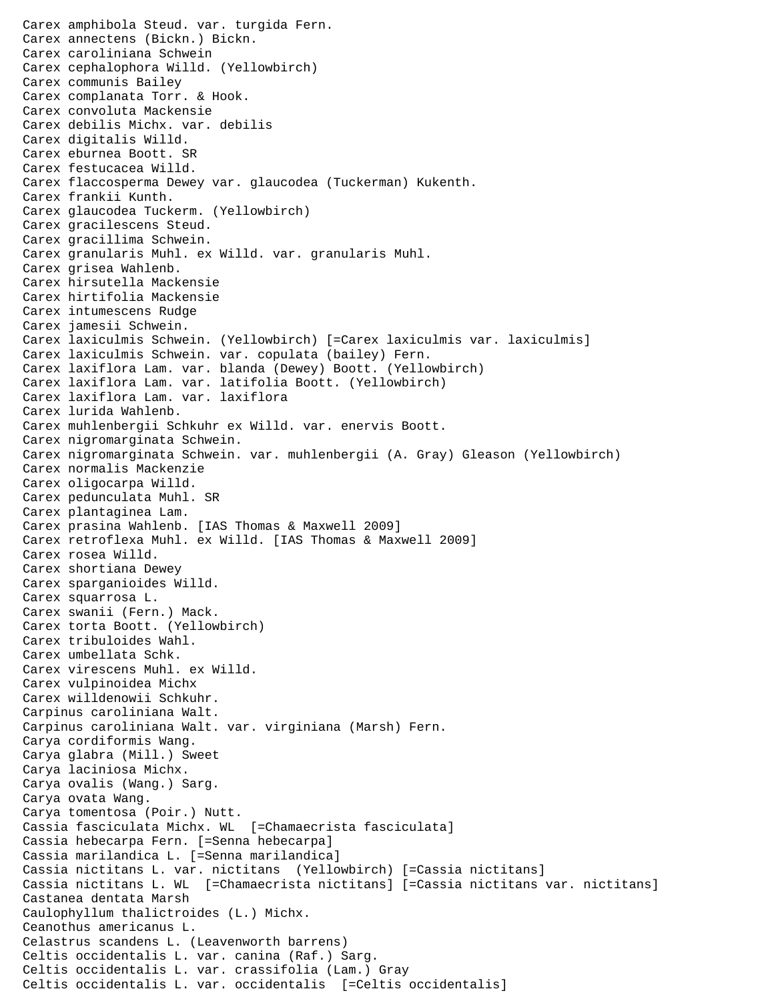Carex amphibola Steud. var. turgida Fern. Carex annectens (Bickn.) Bickn. Carex caroliniana Schwein Carex cephalophora Willd. (Yellowbirch) Carex communis Bailey Carex complanata Torr. & Hook. Carex convoluta Mackensie Carex debilis Michx. var. debilis Carex digitalis Willd. Carex eburnea Boott. SR Carex festucacea Willd. Carex flaccosperma Dewey var. glaucodea (Tuckerman) Kukenth. Carex frankii Kunth. Carex glaucodea Tuckerm. (Yellowbirch) Carex gracilescens Steud. Carex gracillima Schwein. Carex granularis Muhl. ex Willd. var. granularis Muhl. Carex grisea Wahlenb. Carex hirsutella Mackensie Carex hirtifolia Mackensie Carex intumescens Rudge Carex jamesii Schwein. Carex laxiculmis Schwein. (Yellowbirch) [=Carex laxiculmis var. laxiculmis] Carex laxiculmis Schwein. var. copulata (bailey) Fern. Carex laxiflora Lam. var. blanda (Dewey) Boott. (Yellowbirch) Carex laxiflora Lam. var. latifolia Boott. (Yellowbirch) Carex laxiflora Lam. var. laxiflora Carex lurida Wahlenb. Carex muhlenbergii Schkuhr ex Willd. var. enervis Boott. Carex nigromarginata Schwein. Carex nigromarginata Schwein. var. muhlenbergii (A. Gray) Gleason (Yellowbirch) Carex normalis Mackenzie Carex oligocarpa Willd. Carex pedunculata Muhl. SR Carex plantaginea Lam. Carex prasina Wahlenb. [IAS Thomas & Maxwell 2009] Carex retroflexa Muhl. ex Willd. [IAS Thomas & Maxwell 2009] Carex rosea Willd. Carex shortiana Dewey Carex sparganioides Willd. Carex squarrosa L. Carex swanii (Fern.) Mack. Carex torta Boott. (Yellowbirch) Carex tribuloides Wahl. Carex umbellata Schk. Carex virescens Muhl. ex Willd. Carex vulpinoidea Michx Carex willdenowii Schkuhr. Carpinus caroliniana Walt. Carpinus caroliniana Walt. var. virginiana (Marsh) Fern. Carya cordiformis Wang. Carya glabra (Mill.) Sweet Carya laciniosa Michx. Carya ovalis (Wang.) Sarg. Carya ovata Wang. Carya tomentosa (Poir.) Nutt. Cassia fasciculata Michx. WL [=Chamaecrista fasciculata] Cassia hebecarpa Fern. [=Senna hebecarpa] Cassia marilandica L. [=Senna marilandica] Cassia nictitans L. var. nictitans (Yellowbirch) [=Cassia nictitans] Cassia nictitans L. WL [=Chamaecrista nictitans] [=Cassia nictitans var. nictitans] Castanea dentata Marsh Caulophyllum thalictroides (L.) Michx. Ceanothus americanus L. Celastrus scandens L. (Leavenworth barrens) Celtis occidentalis L. var. canina (Raf.) Sarg. Celtis occidentalis L. var. crassifolia (Lam.) Gray Celtis occidentalis L. var. occidentalis [=Celtis occidentalis]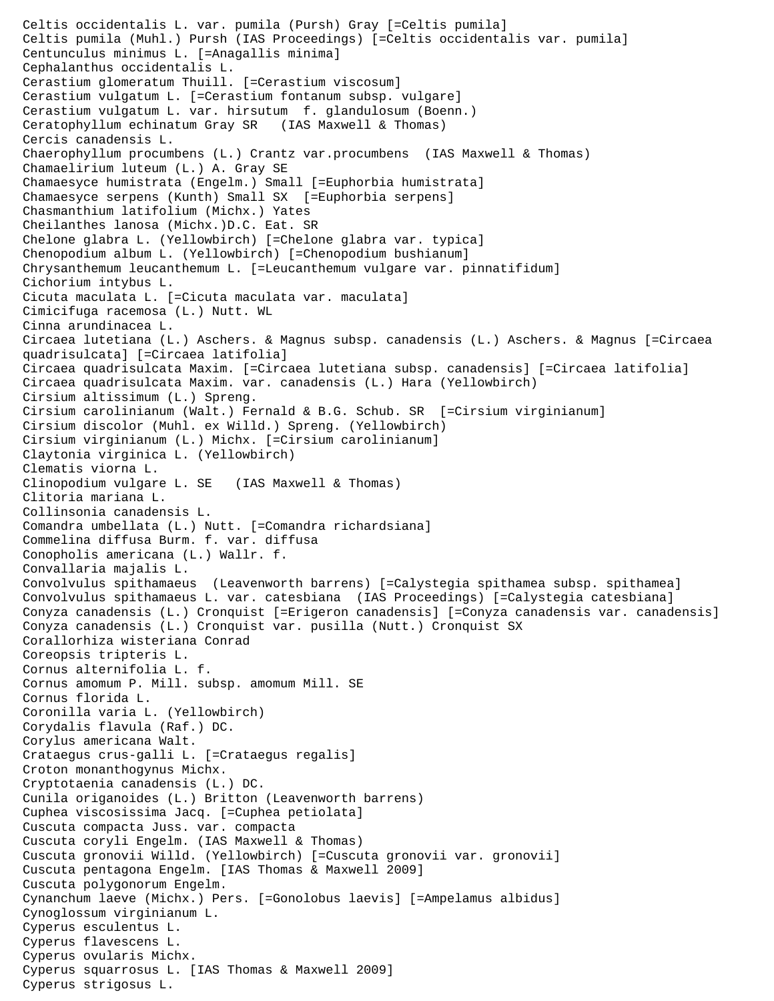Celtis occidentalis L. var. pumila (Pursh) Gray [=Celtis pumila] Celtis pumila (Muhl.) Pursh (IAS Proceedings) [=Celtis occidentalis var. pumila] Centunculus minimus L. [=Anagallis minima] Cephalanthus occidentalis L. Cerastium glomeratum Thuill. [=Cerastium viscosum] Cerastium vulgatum L. [=Cerastium fontanum subsp. vulgare] Cerastium vulgatum L. var. hirsutum f. glandulosum (Boenn.) Ceratophyllum echinatum Gray SR (IAS Maxwell & Thomas) Cercis canadensis L. Chaerophyllum procumbens (L.) Crantz var.procumbens (IAS Maxwell & Thomas) Chamaelirium luteum (L.) A. Gray SE Chamaesyce humistrata (Engelm.) Small [=Euphorbia humistrata] Chamaesyce serpens (Kunth) Small SX [=Euphorbia serpens] Chasmanthium latifolium (Michx.) Yates Cheilanthes lanosa (Michx.)D.C. Eat. SR Chelone glabra L. (Yellowbirch) [=Chelone glabra var. typica] Chenopodium album L. (Yellowbirch) [=Chenopodium bushianum] Chrysanthemum leucanthemum L. [=Leucanthemum vulgare var. pinnatifidum] Cichorium intybus L. Cicuta maculata L. [=Cicuta maculata var. maculata] Cimicifuga racemosa (L.) Nutt. WL Cinna arundinacea L. Circaea lutetiana (L.) Aschers. & Magnus subsp. canadensis (L.) Aschers. & Magnus [=Circaea quadrisulcata] [=Circaea latifolia] Circaea quadrisulcata Maxim. [=Circaea lutetiana subsp. canadensis] [=Circaea latifolia] Circaea quadrisulcata Maxim. var. canadensis (L.) Hara (Yellowbirch) Cirsium altissimum (L.) Spreng. Cirsium carolinianum (Walt.) Fernald & B.G. Schub. SR [=Cirsium virginianum] Cirsium discolor (Muhl. ex Willd.) Spreng. (Yellowbirch) Cirsium virginianum (L.) Michx. [=Cirsium carolinianum] Claytonia virginica L. (Yellowbirch) Clematis viorna L. Clinopodium vulgare L. SE (IAS Maxwell & Thomas) Clitoria mariana L. Collinsonia canadensis L. Comandra umbellata (L.) Nutt. [=Comandra richardsiana] Commelina diffusa Burm. f. var. diffusa Conopholis americana (L.) Wallr. f. Convallaria majalis L. Convolvulus spithamaeus (Leavenworth barrens) [=Calystegia spithamea subsp. spithamea] Convolvulus spithamaeus L. var. catesbiana (IAS Proceedings) [=Calystegia catesbiana] Conyza canadensis (L.) Cronquist [=Erigeron canadensis] [=Conyza canadensis var. canadensis] Conyza canadensis (L.) Cronquist var. pusilla (Nutt.) Cronquist SX Corallorhiza wisteriana Conrad Coreopsis tripteris L. Cornus alternifolia L. f. Cornus amomum P. Mill. subsp. amomum Mill. SE Cornus florida L. Coronilla varia L. (Yellowbirch) Corydalis flavula (Raf.) DC. Corylus americana Walt. Crataegus crus-galli L. [=Crataegus regalis] Croton monanthogynus Michx. Cryptotaenia canadensis (L.) DC. Cunila origanoides (L.) Britton (Leavenworth barrens) Cuphea viscosissima Jacq. [=Cuphea petiolata] Cuscuta compacta Juss. var. compacta Cuscuta coryli Engelm. (IAS Maxwell & Thomas) Cuscuta gronovii Willd. (Yellowbirch) [=Cuscuta gronovii var. gronovii] Cuscuta pentagona Engelm. [IAS Thomas & Maxwell 2009] Cuscuta polygonorum Engelm. Cynanchum laeve (Michx.) Pers. [=Gonolobus laevis] [=Ampelamus albidus] Cynoglossum virginianum L. Cyperus esculentus L. Cyperus flavescens L. Cyperus ovularis Michx. Cyperus squarrosus L. [IAS Thomas & Maxwell 2009] Cyperus strigosus L.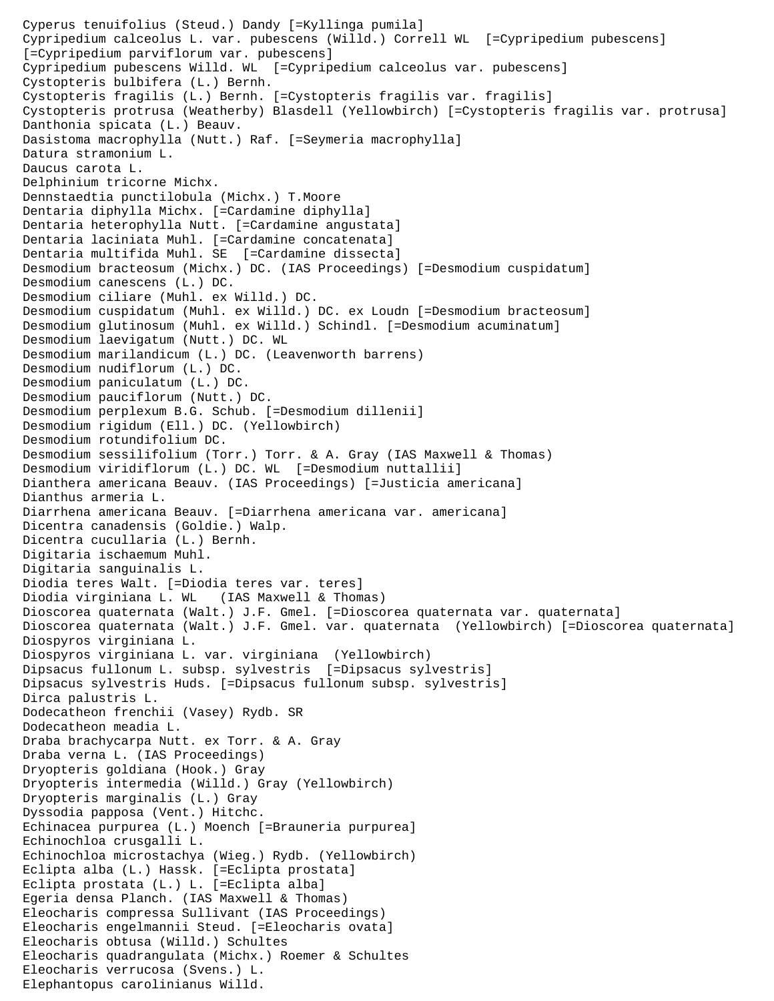Cyperus tenuifolius (Steud.) Dandy [=Kyllinga pumila] Cypripedium calceolus L. var. pubescens (Willd.) Correll WL [=Cypripedium pubescens] [=Cypripedium parviflorum var. pubescens] Cypripedium pubescens Willd. WL [=Cypripedium calceolus var. pubescens] Cystopteris bulbifera (L.) Bernh. Cystopteris fragilis (L.) Bernh. [=Cystopteris fragilis var. fragilis] Cystopteris protrusa (Weatherby) Blasdell (Yellowbirch) [=Cystopteris fragilis var. protrusa] Danthonia spicata (L.) Beauv. Dasistoma macrophylla (Nutt.) Raf. [=Seymeria macrophylla] Datura stramonium L. Daucus carota L. Delphinium tricorne Michx. Dennstaedtia punctilobula (Michx.) T.Moore Dentaria diphylla Michx. [=Cardamine diphylla] Dentaria heterophylla Nutt. [=Cardamine angustata] Dentaria laciniata Muhl. [=Cardamine concatenata] Dentaria multifida Muhl. SE [=Cardamine dissecta] Desmodium bracteosum (Michx.) DC. (IAS Proceedings) [=Desmodium cuspidatum] Desmodium canescens (L.) DC. Desmodium ciliare (Muhl. ex Willd.) DC. Desmodium cuspidatum (Muhl. ex Willd.) DC. ex Loudn [=Desmodium bracteosum] Desmodium glutinosum (Muhl. ex Willd.) Schindl. [=Desmodium acuminatum] Desmodium laevigatum (Nutt.) DC. WL Desmodium marilandicum (L.) DC. (Leavenworth barrens) Desmodium nudiflorum (L.) DC. Desmodium paniculatum (L.) DC. Desmodium pauciflorum (Nutt.) DC. Desmodium perplexum B.G. Schub. [=Desmodium dillenii] Desmodium rigidum (Ell.) DC. (Yellowbirch) Desmodium rotundifolium DC. Desmodium sessilifolium (Torr.) Torr. & A. Gray (IAS Maxwell & Thomas) Desmodium viridiflorum (L.) DC. WL [=Desmodium nuttallii] Dianthera americana Beauv. (IAS Proceedings) [=Justicia americana] Dianthus armeria L. Diarrhena americana Beauv. [=Diarrhena americana var. americana] Dicentra canadensis (Goldie.) Walp. Dicentra cucullaria (L.) Bernh. Digitaria ischaemum Muhl. Digitaria sanguinalis L. Diodia teres Walt. [=Diodia teres var. teres] Diodia virginiana L. WL (IAS Maxwell & Thomas) Dioscorea quaternata (Walt.) J.F. Gmel. [=Dioscorea quaternata var. quaternata] Dioscorea quaternata (Walt.) J.F. Gmel. var. quaternata (Yellowbirch) [=Dioscorea quaternata] Diospyros virginiana L. Diospyros virginiana L. var. virginiana (Yellowbirch) Dipsacus fullonum L. subsp. sylvestris [=Dipsacus sylvestris] Dipsacus sylvestris Huds. [=Dipsacus fullonum subsp. sylvestris] Dirca palustris L. Dodecatheon frenchii (Vasey) Rydb. SR Dodecatheon meadia L. Draba brachycarpa Nutt. ex Torr. & A. Gray Draba verna L. (IAS Proceedings) Dryopteris goldiana (Hook.) Gray Dryopteris intermedia (Willd.) Gray (Yellowbirch) Dryopteris marginalis (L.) Gray Dyssodia papposa (Vent.) Hitchc. Echinacea purpurea (L.) Moench [=Brauneria purpurea] Echinochloa crusgalli L. Echinochloa microstachya (Wieg.) Rydb. (Yellowbirch) Eclipta alba (L.) Hassk. [=Eclipta prostata] Eclipta prostata (L.) L. [=Eclipta alba] Egeria densa Planch. (IAS Maxwell & Thomas) Eleocharis compressa Sullivant (IAS Proceedings) Eleocharis engelmannii Steud. [=Eleocharis ovata] Eleocharis obtusa (Willd.) Schultes Eleocharis quadrangulata (Michx.) Roemer & Schultes Eleocharis verrucosa (Svens.) L. Elephantopus carolinianus Willd.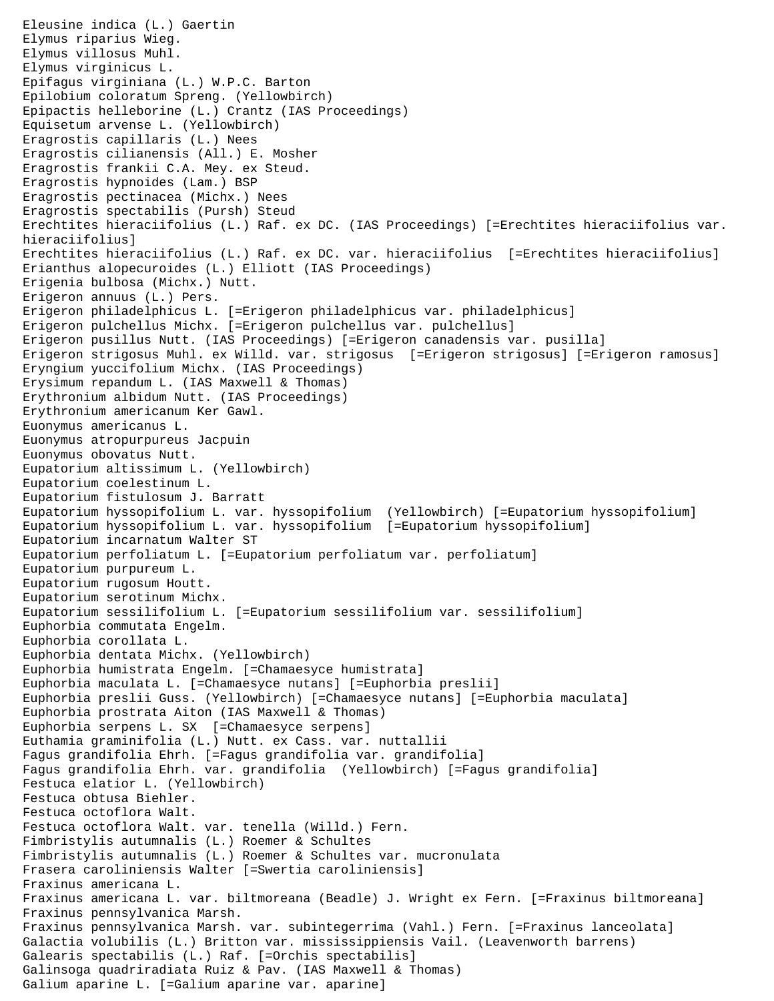```
Eleusine indica (L.) Gaertin
Elymus riparius Wieg.
Elymus villosus Muhl.
Elymus virginicus L.
Epifagus virginiana (L.) W.P.C. Barton
Epilobium coloratum Spreng. (Yellowbirch)
Epipactis helleborine (L.) Crantz (IAS Proceedings)
Equisetum arvense L. (Yellowbirch)
Eragrostis capillaris (L.) Nees
Eragrostis cilianensis (All.) E. Mosher
Eragrostis frankii C.A. Mey. ex Steud.
Eragrostis hypnoides (Lam.) BSP
Eragrostis pectinacea (Michx.) Nees
Eragrostis spectabilis (Pursh) Steud
Erechtites hieraciifolius (L.) Raf. ex DC. (IAS Proceedings) [=Erechtites hieraciifolius var. 
hieraciifolius]
Erechtites hieraciifolius (L.) Raf. ex DC. var. hieraciifolius [=Erechtites hieraciifolius]
Erianthus alopecuroides (L.) Elliott (IAS Proceedings)
Erigenia bulbosa (Michx.) Nutt.
Erigeron annuus (L.) Pers.
Erigeron philadelphicus L. [=Erigeron philadelphicus var. philadelphicus]
Erigeron pulchellus Michx. [=Erigeron pulchellus var. pulchellus]
Erigeron pusillus Nutt. (IAS Proceedings) [=Erigeron canadensis var. pusilla]
Erigeron strigosus Muhl. ex Willd. var. strigosus [=Erigeron strigosus] [=Erigeron ramosus]
Eryngium yuccifolium Michx. (IAS Proceedings)
Erysimum repandum L. (IAS Maxwell & Thomas)
Erythronium albidum Nutt. (IAS Proceedings)
Erythronium americanum Ker Gawl.
Euonymus americanus L.
Euonymus atropurpureus Jacpuin
Euonymus obovatus Nutt.
Eupatorium altissimum L. (Yellowbirch)
Eupatorium coelestinum L.
Eupatorium fistulosum J. Barratt
Eupatorium hyssopifolium L. var. hyssopifolium (Yellowbirch) [=Eupatorium hyssopifolium]
Eupatorium hyssopifolium L. var. hyssopifolium [=Eupatorium hyssopifolium]
Eupatorium incarnatum Walter ST
Eupatorium perfoliatum L. [=Eupatorium perfoliatum var. perfoliatum]
Eupatorium purpureum L.
Eupatorium rugosum Houtt.
Eupatorium serotinum Michx.
Eupatorium sessilifolium L. [=Eupatorium sessilifolium var. sessilifolium]
Euphorbia commutata Engelm.
Euphorbia corollata L.
Euphorbia dentata Michx. (Yellowbirch)
Euphorbia humistrata Engelm. [=Chamaesyce humistrata]
Euphorbia maculata L. [=Chamaesyce nutans] [=Euphorbia preslii]
Euphorbia preslii Guss. (Yellowbirch) [=Chamaesyce nutans] [=Euphorbia maculata]
Euphorbia prostrata Aiton (IAS Maxwell & Thomas)
Euphorbia serpens L. SX [=Chamaesyce serpens]
Euthamia graminifolia (L.) Nutt. ex Cass. var. nuttallii
Fagus grandifolia Ehrh. [=Fagus grandifolia var. grandifolia]
Fagus grandifolia Ehrh. var. grandifolia (Yellowbirch) [=Fagus grandifolia]
Festuca elatior L. (Yellowbirch)
Festuca obtusa Biehler.
Festuca octoflora Walt.
Festuca octoflora Walt. var. tenella (Willd.) Fern.
Fimbristylis autumnalis (L.) Roemer & Schultes
Fimbristylis autumnalis (L.) Roemer & Schultes var. mucronulata
Frasera caroliniensis Walter [=Swertia caroliniensis]
Fraxinus americana L.
Fraxinus americana L. var. biltmoreana (Beadle) J. Wright ex Fern. [=Fraxinus biltmoreana]
Fraxinus pennsylvanica Marsh.
Fraxinus pennsylvanica Marsh. var. subintegerrima (Vahl.) Fern. [=Fraxinus lanceolata]
Galactia volubilis (L.) Britton var. mississippiensis Vail. (Leavenworth barrens)
Galearis spectabilis (L.) Raf. [=Orchis spectabilis]
Galinsoga quadriradiata Ruiz & Pav. (IAS Maxwell & Thomas)
Galium aparine L. [=Galium aparine var. aparine]
```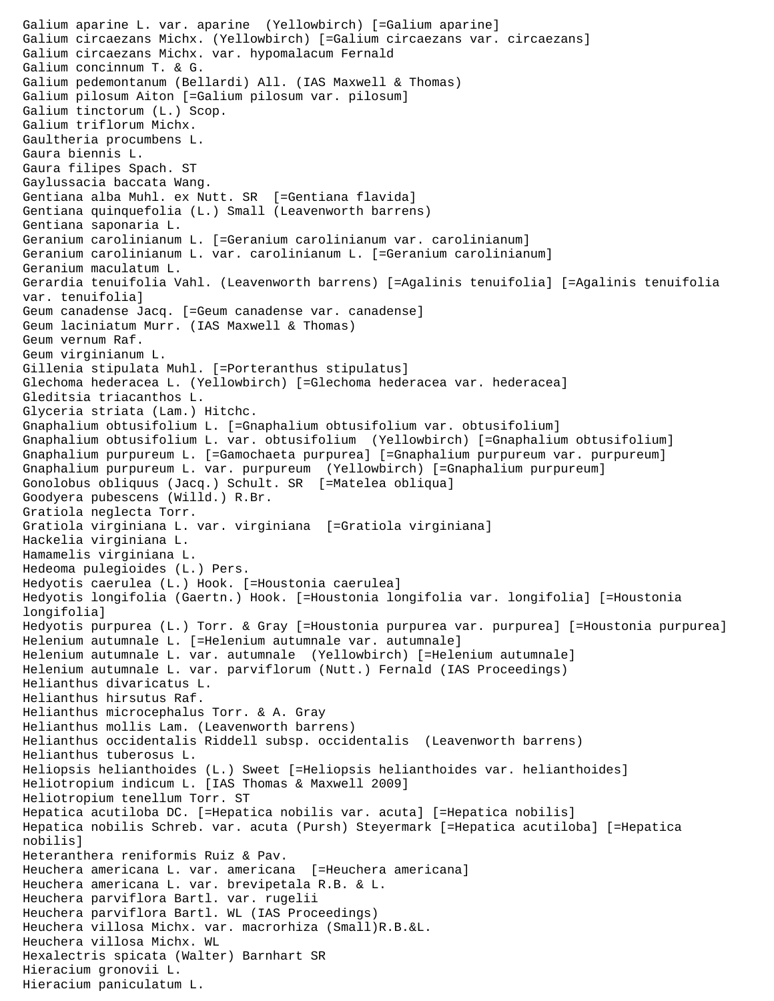```
Galium aparine L. var. aparine (Yellowbirch) [=Galium aparine]
Galium circaezans Michx. (Yellowbirch) [=Galium circaezans var. circaezans]
Galium circaezans Michx. var. hypomalacum Fernald
Galium concinnum T. & G.
Galium pedemontanum (Bellardi) All. (IAS Maxwell & Thomas)
Galium pilosum Aiton [=Galium pilosum var. pilosum]
Galium tinctorum (L.) Scop.
Galium triflorum Michx.
Gaultheria procumbens L.
Gaura biennis L.
Gaura filipes Spach. ST
Gaylussacia baccata Wang.
Gentiana alba Muhl. ex Nutt. SR [=Gentiana flavida]
Gentiana quinquefolia (L.) Small (Leavenworth barrens)
Gentiana saponaria L.
Geranium carolinianum L. [=Geranium carolinianum var. carolinianum]
Geranium carolinianum L. var. carolinianum L. [=Geranium carolinianum]
Geranium maculatum L.
Gerardia tenuifolia Vahl. (Leavenworth barrens) [=Agalinis tenuifolia] [=Agalinis tenuifolia 
var. tenuifolia]
Geum canadense Jacq. [=Geum canadense var. canadense]
Geum laciniatum Murr. (IAS Maxwell & Thomas)
Geum vernum Raf.
Geum virginianum L.
Gillenia stipulata Muhl. [=Porteranthus stipulatus]
Glechoma hederacea L. (Yellowbirch) [=Glechoma hederacea var. hederacea]
Gleditsia triacanthos L.
Glyceria striata (Lam.) Hitchc.
Gnaphalium obtusifolium L. [=Gnaphalium obtusifolium var. obtusifolium]
Gnaphalium obtusifolium L. var. obtusifolium (Yellowbirch) [=Gnaphalium obtusifolium]
Gnaphalium purpureum L. [=Gamochaeta purpurea] [=Gnaphalium purpureum var. purpureum]
Gnaphalium purpureum L. var. purpureum (Yellowbirch) [=Gnaphalium purpureum]
Gonolobus obliquus (Jacq.) Schult. SR [=Matelea obliqua]
Goodyera pubescens (Willd.) R.Br.
Gratiola neglecta Torr.
Gratiola virginiana L. var. virginiana [=Gratiola virginiana]
Hackelia virginiana L.
Hamamelis virginiana L.
Hedeoma pulegioides (L.) Pers.
Hedyotis caerulea (L.) Hook. [=Houstonia caerulea]
Hedyotis longifolia (Gaertn.) Hook. [=Houstonia longifolia var. longifolia] [=Houstonia 
longifolia]
Hedyotis purpurea (L.) Torr. & Gray [=Houstonia purpurea var. purpurea] [=Houstonia purpurea]
Helenium autumnale L. [=Helenium autumnale var. autumnale]
Helenium autumnale L. var. autumnale (Yellowbirch) [=Helenium autumnale]
Helenium autumnale L. var. parviflorum (Nutt.) Fernald (IAS Proceedings)
Helianthus divaricatus L.
Helianthus hirsutus Raf.
Helianthus microcephalus Torr. & A. Gray
Helianthus mollis Lam. (Leavenworth barrens)
Helianthus occidentalis Riddell subsp. occidentalis (Leavenworth barrens)
Helianthus tuberosus L.
Heliopsis helianthoides (L.) Sweet [=Heliopsis helianthoides var. helianthoides]
Heliotropium indicum L. [IAS Thomas & Maxwell 2009]
Heliotropium tenellum Torr. ST 
Hepatica acutiloba DC. [=Hepatica nobilis var. acuta] [=Hepatica nobilis]
Hepatica nobilis Schreb. var. acuta (Pursh) Steyermark [=Hepatica acutiloba] [=Hepatica 
nobilis]
Heteranthera reniformis Ruiz & Pav.
Heuchera americana L. var. americana [=Heuchera americana]
Heuchera americana L. var. brevipetala R.B. & L.
Heuchera parviflora Bartl. var. rugelii
Heuchera parviflora Bartl. WL (IAS Proceedings)
Heuchera villosa Michx. var. macrorhiza (Small)R.B.&L.
Heuchera villosa Michx. WL
Hexalectris spicata (Walter) Barnhart SR
Hieracium gronovii L.
Hieracium paniculatum L.
```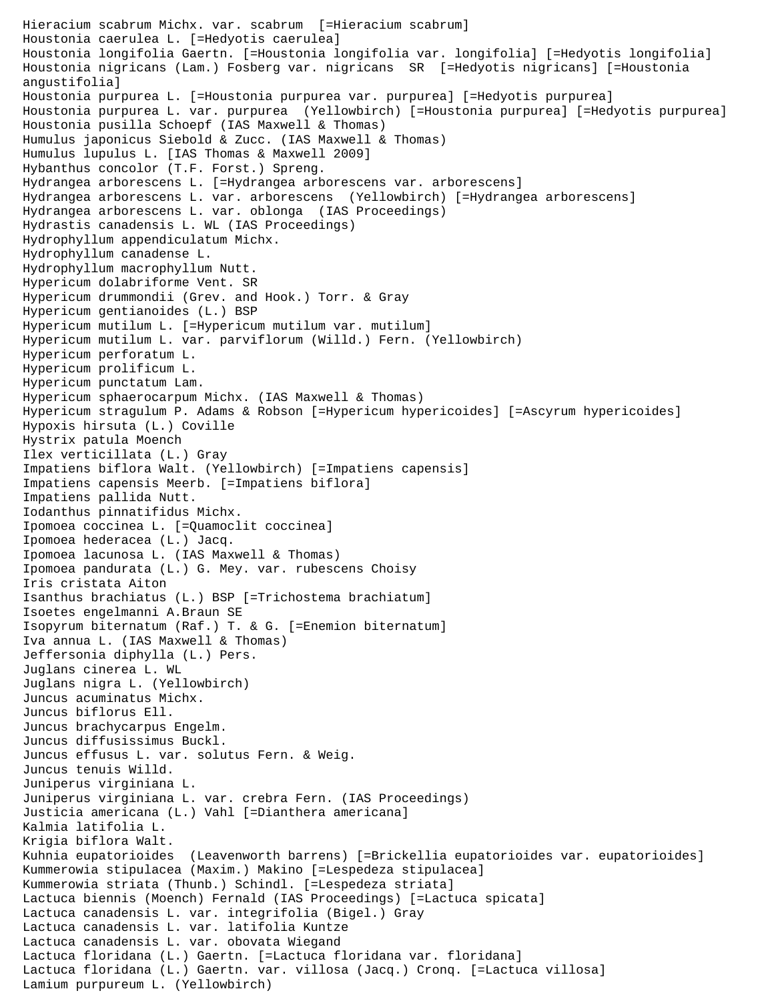Hieracium scabrum Michx. var. scabrum [=Hieracium scabrum] Houstonia caerulea L. [=Hedyotis caerulea] Houstonia longifolia Gaertn. [=Houstonia longifolia var. longifolia] [=Hedyotis longifolia] Houstonia nigricans (Lam.) Fosberg var. nigricans SR [=Hedyotis nigricans] [=Houstonia angustifolia] Houstonia purpurea L. [=Houstonia purpurea var. purpurea] [=Hedyotis purpurea] Houstonia purpurea L. var. purpurea (Yellowbirch) [=Houstonia purpurea] [=Hedyotis purpurea] Houstonia pusilla Schoepf (IAS Maxwell & Thomas) Humulus japonicus Siebold & Zucc. (IAS Maxwell & Thomas) Humulus lupulus L. [IAS Thomas & Maxwell 2009] Hybanthus concolor (T.F. Forst.) Spreng. Hydrangea arborescens L. [=Hydrangea arborescens var. arborescens] Hydrangea arborescens L. var. arborescens (Yellowbirch) [=Hydrangea arborescens] Hydrangea arborescens L. var. oblonga (IAS Proceedings) Hydrastis canadensis L. WL (IAS Proceedings) Hydrophyllum appendiculatum Michx. Hydrophyllum canadense L. Hydrophyllum macrophyllum Nutt. Hypericum dolabriforme Vent. SR Hypericum drummondii (Grev. and Hook.) Torr. & Gray Hypericum gentianoides (L.) BSP Hypericum mutilum L. [=Hypericum mutilum var. mutilum] Hypericum mutilum L. var. parviflorum (Willd.) Fern. (Yellowbirch) Hypericum perforatum L. Hypericum prolificum L. Hypericum punctatum Lam. Hypericum sphaerocarpum Michx. (IAS Maxwell & Thomas) Hypericum stragulum P. Adams & Robson [=Hypericum hypericoides] [=Ascyrum hypericoides] Hypoxis hirsuta (L.) Coville Hystrix patula Moench Ilex verticillata (L.) Gray Impatiens biflora Walt. (Yellowbirch) [=Impatiens capensis] Impatiens capensis Meerb. [=Impatiens biflora] Impatiens pallida Nutt. Iodanthus pinnatifidus Michx. Ipomoea coccinea L. [=Quamoclit coccinea] Ipomoea hederacea (L.) Jacq. Ipomoea lacunosa L. (IAS Maxwell & Thomas) Ipomoea pandurata (L.) G. Mey. var. rubescens Choisy Iris cristata Aiton Isanthus brachiatus (L.) BSP [=Trichostema brachiatum] Isoetes engelmanni A.Braun SE Isopyrum biternatum (Raf.) T. & G. [=Enemion biternatum] Iva annua L. (IAS Maxwell & Thomas) Jeffersonia diphylla (L.) Pers. Juglans cinerea L. WL Juglans nigra L. (Yellowbirch) Juncus acuminatus Michx. Juncus biflorus Ell. Juncus brachycarpus Engelm. Juncus diffusissimus Buckl. Juncus effusus L. var. solutus Fern. & Weig. Juncus tenuis Willd. Juniperus virginiana L. Juniperus virginiana L. var. crebra Fern. (IAS Proceedings) Justicia americana (L.) Vahl [=Dianthera americana] Kalmia latifolia L. Krigia biflora Walt. Kuhnia eupatorioides (Leavenworth barrens) [=Brickellia eupatorioides var. eupatorioides] Kummerowia stipulacea (Maxim.) Makino [=Lespedeza stipulacea] Kummerowia striata (Thunb.) Schindl. [=Lespedeza striata] Lactuca biennis (Moench) Fernald (IAS Proceedings) [=Lactuca spicata] Lactuca canadensis L. var. integrifolia (Bigel.) Gray Lactuca canadensis L. var. latifolia Kuntze Lactuca canadensis L. var. obovata Wiegand Lactuca floridana (L.) Gaertn. [=Lactuca floridana var. floridana] Lactuca floridana (L.) Gaertn. var. villosa (Jacq.) Cronq. [=Lactuca villosa] Lamium purpureum L. (Yellowbirch)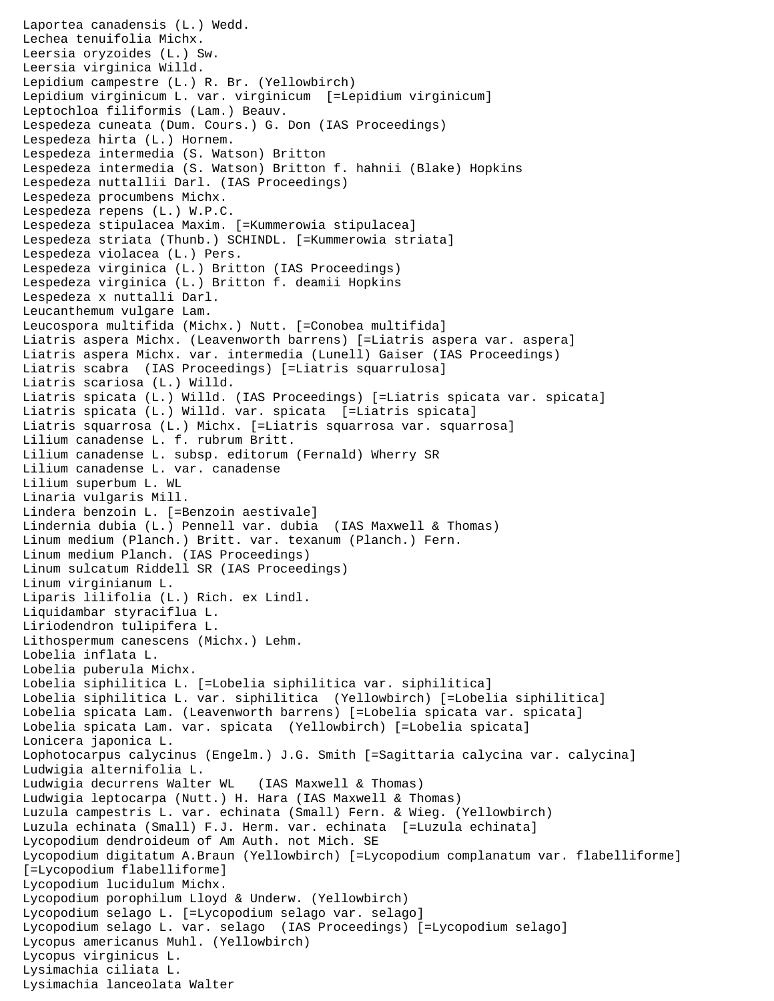```
Laportea canadensis (L.) Wedd.
Lechea tenuifolia Michx.
Leersia oryzoides (L.) Sw.
Leersia virginica Willd.
Lepidium campestre (L.) R. Br. (Yellowbirch)
Lepidium virginicum L. var. virginicum [=Lepidium virginicum]
Leptochloa filiformis (Lam.) Beauv.
Lespedeza cuneata (Dum. Cours.) G. Don (IAS Proceedings)
Lespedeza hirta (L.) Hornem.
Lespedeza intermedia (S. Watson) Britton
Lespedeza intermedia (S. Watson) Britton f. hahnii (Blake) Hopkins
Lespedeza nuttallii Darl. (IAS Proceedings)
Lespedeza procumbens Michx.
Lespedeza repens (L.) W.P.C.
Lespedeza stipulacea Maxim. [=Kummerowia stipulacea]
Lespedeza striata (Thunb.) SCHINDL. [=Kummerowia striata]
Lespedeza violacea (L.) Pers.
Lespedeza virginica (L.) Britton (IAS Proceedings)
Lespedeza virginica (L.) Britton f. deamii Hopkins
Lespedeza x nuttalli Darl.
Leucanthemum vulgare Lam.
Leucospora multifida (Michx.) Nutt. [=Conobea multifida]
Liatris aspera Michx. (Leavenworth barrens) [=Liatris aspera var. aspera]
Liatris aspera Michx. var. intermedia (Lunell) Gaiser (IAS Proceedings)
Liatris scabra (IAS Proceedings) [=Liatris squarrulosa]
Liatris scariosa (L.) Willd.
Liatris spicata (L.) Willd. (IAS Proceedings) [=Liatris spicata var. spicata]
Liatris spicata (L.) Willd. var. spicata [=Liatris spicata]
Liatris squarrosa (L.) Michx. [=Liatris squarrosa var. squarrosa]
Lilium canadense L. f. rubrum Britt.
Lilium canadense L. subsp. editorum (Fernald) Wherry SR
Lilium canadense L. var. canadense 
Lilium superbum L. WL 
Linaria vulgaris Mill.
Lindera benzoin L. [=Benzoin aestivale]
Lindernia dubia (L.) Pennell var. dubia (IAS Maxwell & Thomas)
Linum medium (Planch.) Britt. var. texanum (Planch.) Fern.
Linum medium Planch. (IAS Proceedings)
Linum sulcatum Riddell SR (IAS Proceedings)
Linum virginianum L.
Liparis lilifolia (L.) Rich. ex Lindl.
Liquidambar styraciflua L.
Liriodendron tulipifera L.
Lithospermum canescens (Michx.) Lehm.
Lobelia inflata L.
Lobelia puberula Michx.
Lobelia siphilitica L. [=Lobelia siphilitica var. siphilitica]
Lobelia siphilitica L. var. siphilitica (Yellowbirch) [=Lobelia siphilitica]
Lobelia spicata Lam. (Leavenworth barrens) [=Lobelia spicata var. spicata]
Lobelia spicata Lam. var. spicata (Yellowbirch) [=Lobelia spicata]
Lonicera japonica L.
Lophotocarpus calycinus (Engelm.) J.G. Smith [=Sagittaria calycina var. calycina]
Ludwigia alternifolia L.
Ludwigia decurrens Walter WL (IAS Maxwell & Thomas)
Ludwigia leptocarpa (Nutt.) H. Hara (IAS Maxwell & Thomas)
Luzula campestris L. var. echinata (Small) Fern. & Wieg. (Yellowbirch)
Luzula echinata (Small) F.J. Herm. var. echinata [=Luzula echinata]
Lycopodium dendroideum of Am Auth. not Mich. SE
Lycopodium digitatum A.Braun (Yellowbirch) [=Lycopodium complanatum var. flabelliforme] 
[=Lycopodium flabelliforme]
Lycopodium lucidulum Michx.
Lycopodium porophilum Lloyd & Underw. (Yellowbirch)
Lycopodium selago L. [=Lycopodium selago var. selago]
Lycopodium selago L. var. selago (IAS Proceedings) [=Lycopodium selago]
Lycopus americanus Muhl. (Yellowbirch)
Lycopus virginicus L.
Lysimachia ciliata L.
Lysimachia lanceolata Walter
```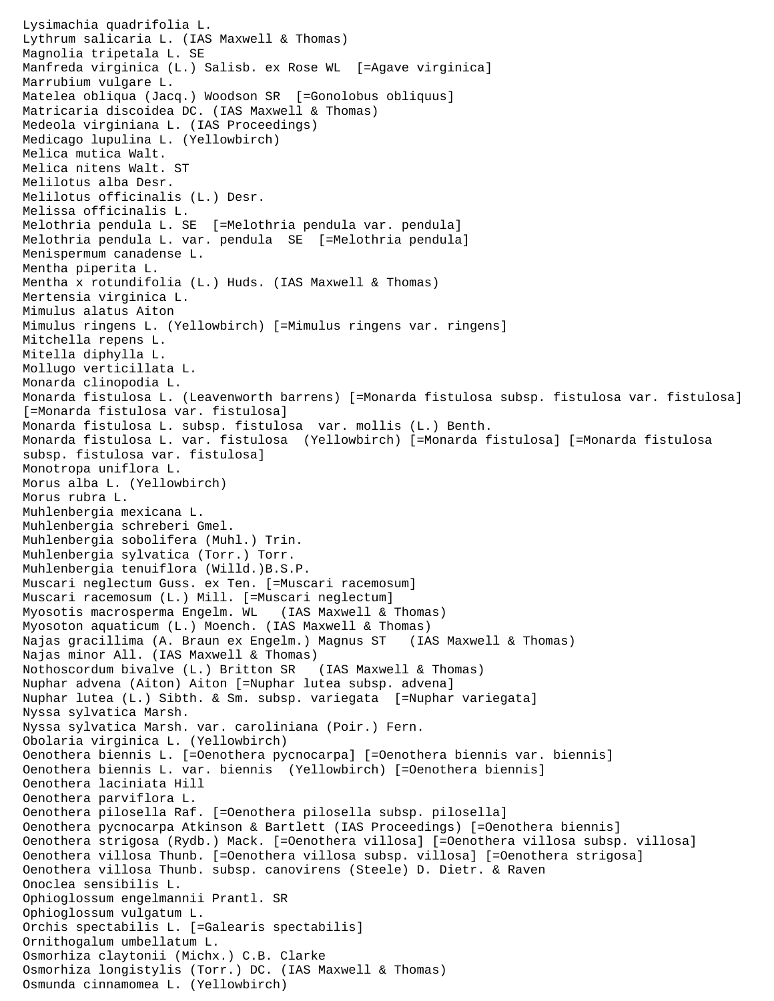```
Lysimachia quadrifolia L.
Lythrum salicaria L. (IAS Maxwell & Thomas)
Magnolia tripetala L. SE
Manfreda virginica (L.) Salisb. ex Rose WL [=Agave virginica]
Marrubium vulgare L.
Matelea obliqua (Jacq.) Woodson SR [=Gonolobus obliquus]
Matricaria discoidea DC. (IAS Maxwell & Thomas)
Medeola virginiana L. (IAS Proceedings)
Medicago lupulina L. (Yellowbirch)
Melica mutica Walt.
Melica nitens Walt. ST
Melilotus alba Desr.
Melilotus officinalis (L.) Desr.
Melissa officinalis L.
Melothria pendula L. SE [=Melothria pendula var. pendula]
Melothria pendula L. var. pendula SE [=Melothria pendula]
Menispermum canadense L.
Mentha piperita L.
Mentha x rotundifolia (L.) Huds. (IAS Maxwell & Thomas)
Mertensia virginica L.
Mimulus alatus Aiton
Mimulus ringens L. (Yellowbirch) [=Mimulus ringens var. ringens]
Mitchella repens L.
Mitella diphylla L.
Mollugo verticillata L.
Monarda clinopodia L.
Monarda fistulosa L. (Leavenworth barrens) [=Monarda fistulosa subsp. fistulosa var. fistulosa] 
[=Monarda fistulosa var. fistulosa]
Monarda fistulosa L. subsp. fistulosa var. mollis (L.) Benth.
Monarda fistulosa L. var. fistulosa (Yellowbirch) [=Monarda fistulosa] [=Monarda fistulosa 
subsp. fistulosa var. fistulosa]
Monotropa uniflora L.
Morus alba L. (Yellowbirch)
Morus rubra L.
Muhlenbergia mexicana L.
Muhlenbergia schreberi Gmel.
Muhlenbergia sobolifera (Muhl.) Trin.
Muhlenbergia sylvatica (Torr.) Torr.
Muhlenbergia tenuiflora (Willd.)B.S.P.
Muscari neglectum Guss. ex Ten. [=Muscari racemosum]
Muscari racemosum (L.) Mill. [=Muscari neglectum]
Myosotis macrosperma Engelm. WL (IAS Maxwell & Thomas)
Myosoton aquaticum (L.) Moench. (IAS Maxwell & Thomas)
Najas gracillima (A. Braun ex Engelm.) Magnus ST (IAS Maxwell & Thomas)
Najas minor All. (IAS Maxwell & Thomas)
Nothoscordum bivalve (L.) Britton SR (IAS Maxwell & Thomas)
Nuphar advena (Aiton) Aiton [=Nuphar lutea subsp. advena]
Nuphar lutea (L.) Sibth. & Sm. subsp. variegata [=Nuphar variegata]
Nyssa sylvatica Marsh.
Nyssa sylvatica Marsh. var. caroliniana (Poir.) Fern.
Obolaria virginica L. (Yellowbirch)
Oenothera biennis L. [=Oenothera pycnocarpa] [=Oenothera biennis var. biennis]
Oenothera biennis L. var. biennis (Yellowbirch) [=Oenothera biennis]
Oenothera laciniata Hill
Oenothera parviflora L.
Oenothera pilosella Raf. [=Oenothera pilosella subsp. pilosella]
Oenothera pycnocarpa Atkinson & Bartlett (IAS Proceedings) [=Oenothera biennis]
Oenothera strigosa (Rydb.) Mack. [=Oenothera villosa] [=Oenothera villosa subsp. villosa]
Oenothera villosa Thunb. [=Oenothera villosa subsp. villosa] [=Oenothera strigosa]
Oenothera villosa Thunb. subsp. canovirens (Steele) D. Dietr. & Raven
Onoclea sensibilis L.
Ophioglossum engelmannii Prantl. SR 
Ophioglossum vulgatum L.
Orchis spectabilis L. [=Galearis spectabilis]
Ornithogalum umbellatum L.
Osmorhiza claytonii (Michx.) C.B. Clarke
Osmorhiza longistylis (Torr.) DC. (IAS Maxwell & Thomas)
Osmunda cinnamomea L. (Yellowbirch)
```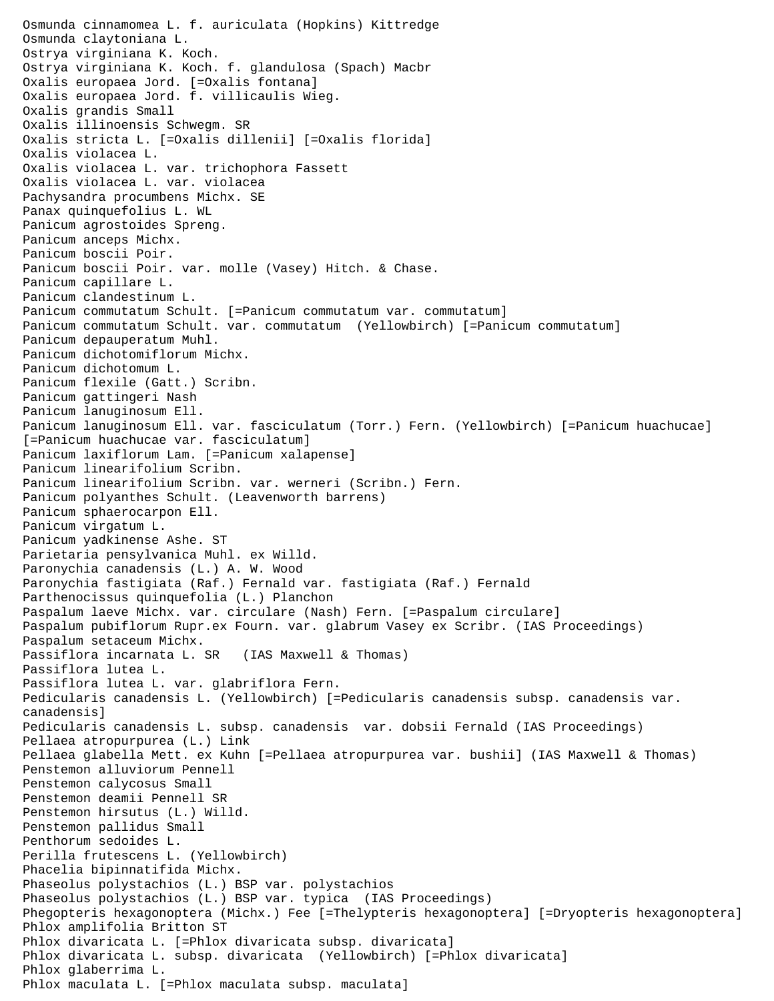Osmunda cinnamomea L. f. auriculata (Hopkins) Kittredge Osmunda claytoniana L. Ostrya virginiana K. Koch. Ostrya virginiana K. Koch. f. glandulosa (Spach) Macbr Oxalis europaea Jord. [=Oxalis fontana] Oxalis europaea Jord. f. villicaulis Wieg. Oxalis grandis Small Oxalis illinoensis Schwegm. SR Oxalis stricta L. [=Oxalis dillenii] [=Oxalis florida] Oxalis violacea L. Oxalis violacea L. var. trichophora Fassett Oxalis violacea L. var. violacea Pachysandra procumbens Michx. SE Panax quinquefolius L. WL Panicum agrostoides Spreng. Panicum anceps Michx. Panicum boscii Poir. Panicum boscii Poir. var. molle (Vasey) Hitch. & Chase. Panicum capillare L. Panicum clandestinum L. Panicum commutatum Schult. [=Panicum commutatum var. commutatum] Panicum commutatum Schult. var. commutatum (Yellowbirch) [=Panicum commutatum] Panicum depauperatum Muhl. Panicum dichotomiflorum Michx. Panicum dichotomum L. Panicum flexile (Gatt.) Scribn. Panicum gattingeri Nash Panicum lanuginosum Ell. Panicum lanuginosum Ell. var. fasciculatum (Torr.) Fern. (Yellowbirch) [=Panicum huachucae] [=Panicum huachucae var. fasciculatum] Panicum laxiflorum Lam. [=Panicum xalapense] Panicum linearifolium Scribn. Panicum linearifolium Scribn. var. werneri (Scribn.) Fern. Panicum polyanthes Schult. (Leavenworth barrens) Panicum sphaerocarpon Ell. Panicum virgatum L. Panicum yadkinense Ashe. ST Parietaria pensylvanica Muhl. ex Willd. Paronychia canadensis (L.) A. W. Wood Paronychia fastigiata (Raf.) Fernald var. fastigiata (Raf.) Fernald Parthenocissus quinquefolia (L.) Planchon Paspalum laeve Michx. var. circulare (Nash) Fern. [=Paspalum circulare] Paspalum pubiflorum Rupr.ex Fourn. var. glabrum Vasey ex Scribr. (IAS Proceedings) Paspalum setaceum Michx. Passiflora incarnata L. SR (IAS Maxwell & Thomas) Passiflora lutea L. Passiflora lutea L. var. glabriflora Fern. Pedicularis canadensis L. (Yellowbirch) [=Pedicularis canadensis subsp. canadensis var. canadensis] Pedicularis canadensis L. subsp. canadensis var. dobsii Fernald (IAS Proceedings) Pellaea atropurpurea (L.) Link Pellaea glabella Mett. ex Kuhn [=Pellaea atropurpurea var. bushii] (IAS Maxwell & Thomas) Penstemon alluviorum Pennell Penstemon calycosus Small Penstemon deamii Pennell SR Penstemon hirsutus (L.) Willd. Penstemon pallidus Small Penthorum sedoides L. Perilla frutescens L. (Yellowbirch) Phacelia bipinnatifida Michx. Phaseolus polystachios (L.) BSP var. polystachios Phaseolus polystachios (L.) BSP var. typica (IAS Proceedings) Phegopteris hexagonoptera (Michx.) Fee [=Thelypteris hexagonoptera] [=Dryopteris hexagonoptera] Phlox amplifolia Britton ST Phlox divaricata L. [=Phlox divaricata subsp. divaricata] Phlox divaricata L. subsp. divaricata (Yellowbirch) [=Phlox divaricata] Phlox glaberrima L. Phlox maculata L. [=Phlox maculata subsp. maculata]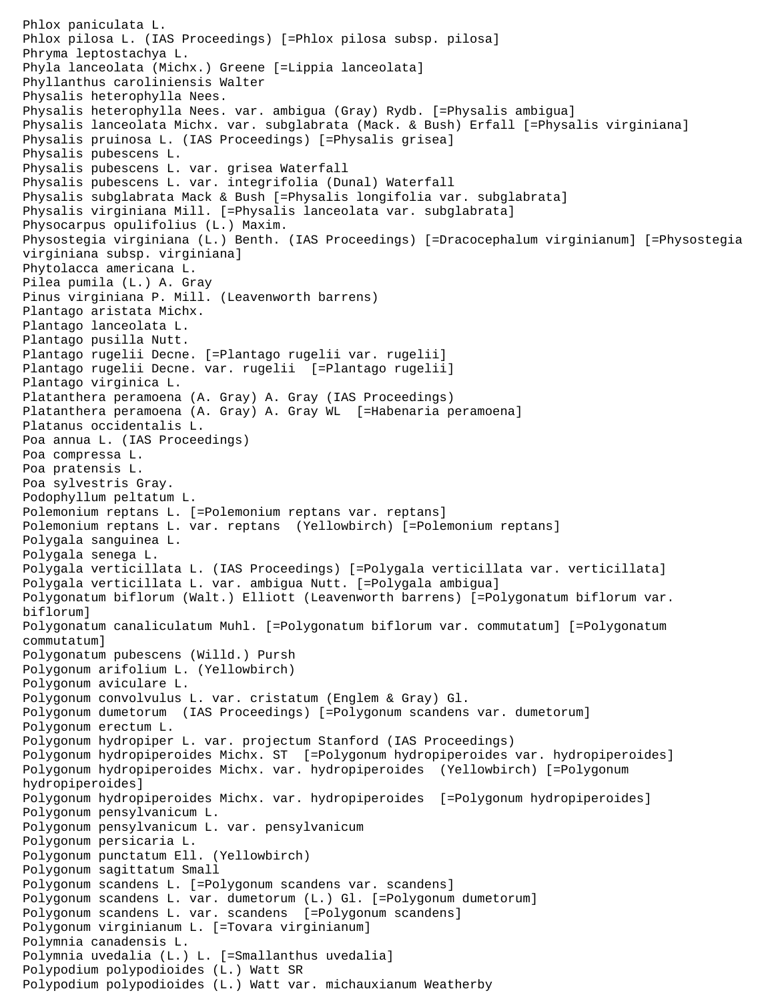```
Phlox paniculata L.
Phlox pilosa L. (IAS Proceedings) [=Phlox pilosa subsp. pilosa]
Phryma leptostachya L.
Phyla lanceolata (Michx.) Greene [=Lippia lanceolata]
Phyllanthus caroliniensis Walter
Physalis heterophylla Nees.
Physalis heterophylla Nees. var. ambigua (Gray) Rydb. [=Physalis ambigua]
Physalis lanceolata Michx. var. subglabrata (Mack. & Bush) Erfall [=Physalis virginiana]
Physalis pruinosa L. (IAS Proceedings) [=Physalis grisea]
Physalis pubescens L.
Physalis pubescens L. var. grisea Waterfall
Physalis pubescens L. var. integrifolia (Dunal) Waterfall
Physalis subglabrata Mack & Bush [=Physalis longifolia var. subglabrata]
Physalis virginiana Mill. [=Physalis lanceolata var. subglabrata]
Physocarpus opulifolius (L.) Maxim.
Physostegia virginiana (L.) Benth. (IAS Proceedings) [=Dracocephalum virginianum] [=Physostegia 
virginiana subsp. virginiana]
Phytolacca americana L.
Pilea pumila (L.) A. Gray
Pinus virginiana P. Mill. (Leavenworth barrens)
Plantago aristata Michx.
Plantago lanceolata L.
Plantago pusilla Nutt.
Plantago rugelii Decne. [=Plantago rugelii var. rugelii]
Plantago rugelii Decne. var. rugelii [=Plantago rugelii]
Plantago virginica L.
Platanthera peramoena (A. Gray) A. Gray (IAS Proceedings)
Platanthera peramoena (A. Gray) A. Gray WL [=Habenaria peramoena]
Platanus occidentalis L.
Poa annua L. (IAS Proceedings)
Poa compressa L.
Poa pratensis L.
Poa sylvestris Gray.
Podophyllum peltatum L.
Polemonium reptans L. [=Polemonium reptans var. reptans]
Polemonium reptans L. var. reptans (Yellowbirch) [=Polemonium reptans]
Polygala sanguinea L.
Polygala senega L.
Polygala verticillata L. (IAS Proceedings) [=Polygala verticillata var. verticillata]
Polygala verticillata L. var. ambigua Nutt. [=Polygala ambigua]
Polygonatum biflorum (Walt.) Elliott (Leavenworth barrens) [=Polygonatum biflorum var. 
biflorum]
Polygonatum canaliculatum Muhl. [=Polygonatum biflorum var. commutatum] [=Polygonatum 
commutatum]
Polygonatum pubescens (Willd.) Pursh
Polygonum arifolium L. (Yellowbirch)
Polygonum aviculare L.
Polygonum convolvulus L. var. cristatum (Englem & Gray) Gl.
Polygonum dumetorum (IAS Proceedings) [=Polygonum scandens var. dumetorum]
Polygonum erectum L.
Polygonum hydropiper L. var. projectum Stanford (IAS Proceedings)
Polygonum hydropiperoides Michx. ST [=Polygonum hydropiperoides var. hydropiperoides]
Polygonum hydropiperoides Michx. var. hydropiperoides (Yellowbirch) [=Polygonum 
hydropiperoides]
Polygonum hydropiperoides Michx. var. hydropiperoides [=Polygonum hydropiperoides]
Polygonum pensylvanicum L.
Polygonum pensylvanicum L. var. pensylvanicum
Polygonum persicaria L.
Polygonum punctatum Ell. (Yellowbirch)
Polygonum sagittatum Small
Polygonum scandens L. [=Polygonum scandens var. scandens]
Polygonum scandens L. var. dumetorum (L.) Gl. [=Polygonum dumetorum]
Polygonum scandens L. var. scandens [=Polygonum scandens]
Polygonum virginianum L. [=Tovara virginianum]
Polymnia canadensis L.
Polymnia uvedalia (L.) L. [=Smallanthus uvedalia]
Polypodium polypodioides (L.) Watt SR
Polypodium polypodioides (L.) Watt var. michauxianum Weatherby
```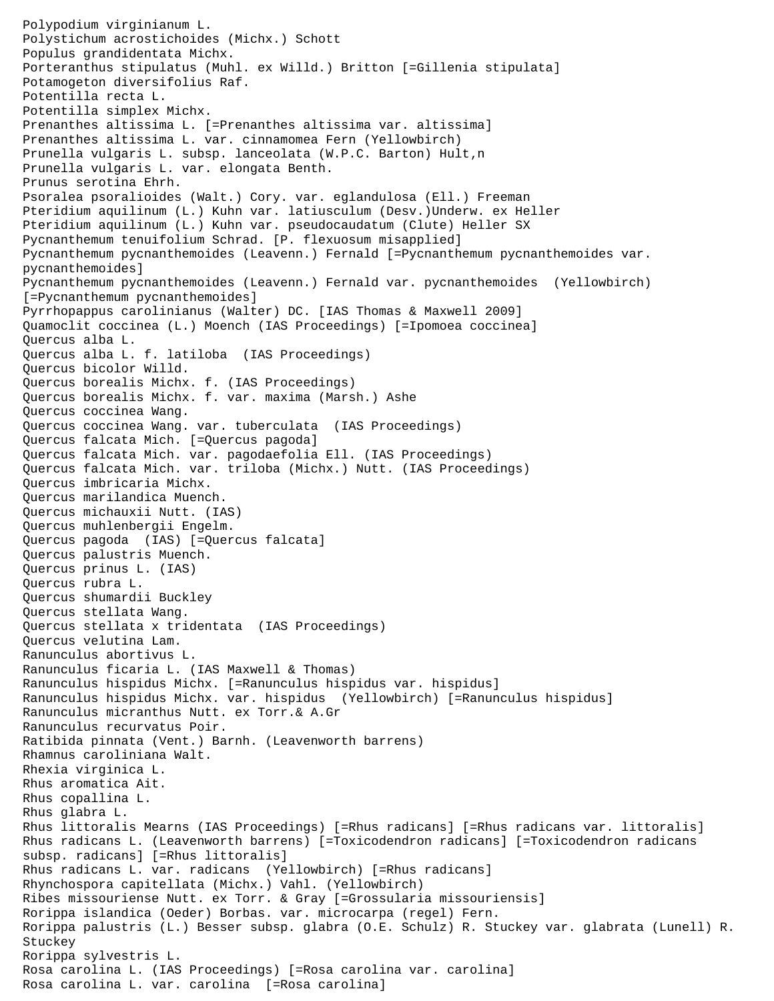Polypodium virginianum L. Polystichum acrostichoides (Michx.) Schott Populus grandidentata Michx. Porteranthus stipulatus (Muhl. ex Willd.) Britton [=Gillenia stipulata] Potamogeton diversifolius Raf. Potentilla recta L. Potentilla simplex Michx. Prenanthes altissima L. [=Prenanthes altissima var. altissima] Prenanthes altissima L. var. cinnamomea Fern (Yellowbirch) Prunella vulgaris L. subsp. lanceolata (W.P.C. Barton) Hult, n Prunella vulgaris L. var. elongata Benth. Prunus serotina Ehrh. Psoralea psoralioides (Walt.) Cory. var. eglandulosa (Ell.) Freeman Pteridium aquilinum (L.) Kuhn var. latiusculum (Desv.)Underw. ex Heller Pteridium aquilinum (L.) Kuhn var. pseudocaudatum (Clute) Heller SX Pycnanthemum tenuifolium Schrad. [P. flexuosum misapplied] Pycnanthemum pycnanthemoides (Leavenn.) Fernald [=Pycnanthemum pycnanthemoides var. pycnanthemoides] Pycnanthemum pycnanthemoides (Leavenn.) Fernald var. pycnanthemoides (Yellowbirch) [=Pycnanthemum pycnanthemoides] Pyrrhopappus carolinianus (Walter) DC. [IAS Thomas & Maxwell 2009] Quamoclit coccinea (L.) Moench (IAS Proceedings) [=Ipomoea coccinea] Quercus alba L. Quercus alba L. f. latiloba (IAS Proceedings) Quercus bicolor Willd. Quercus borealis Michx. f. (IAS Proceedings) Quercus borealis Michx. f. var. maxima (Marsh.) Ashe Quercus coccinea Wang. Quercus coccinea Wang. var. tuberculata (IAS Proceedings) Quercus falcata Mich. [=Quercus pagoda] Quercus falcata Mich. var. pagodaefolia Ell. (IAS Proceedings) Quercus falcata Mich. var. triloba (Michx.) Nutt. (IAS Proceedings) Quercus imbricaria Michx. Quercus marilandica Muench. Quercus michauxii Nutt. (IAS) Quercus muhlenbergii Engelm. Quercus pagoda (IAS) [=Quercus falcata] Quercus palustris Muench. Quercus prinus L. (IAS) Quercus rubra L. Quercus shumardii Buckley Quercus stellata Wang. Quercus stellata x tridentata (IAS Proceedings) Quercus velutina Lam. Ranunculus abortivus L. Ranunculus ficaria L. (IAS Maxwell & Thomas) Ranunculus hispidus Michx. [=Ranunculus hispidus var. hispidus] Ranunculus hispidus Michx. var. hispidus (Yellowbirch) [=Ranunculus hispidus] Ranunculus micranthus Nutt. ex Torr.& A.Gr Ranunculus recurvatus Poir. Ratibida pinnata (Vent.) Barnh. (Leavenworth barrens) Rhamnus caroliniana Walt. Rhexia virginica L. Rhus aromatica Ait. Rhus copallina L. Rhus glabra L. Rhus littoralis Mearns (IAS Proceedings) [=Rhus radicans] [=Rhus radicans var. littoralis] Rhus radicans L. (Leavenworth barrens) [=Toxicodendron radicans] [=Toxicodendron radicans subsp. radicans] [=Rhus littoralis] Rhus radicans L. var. radicans (Yellowbirch) [=Rhus radicans] Rhynchospora capitellata (Michx.) Vahl. (Yellowbirch) Ribes missouriense Nutt. ex Torr. & Gray [=Grossularia missouriensis] Rorippa islandica (Oeder) Borbas. var. microcarpa (regel) Fern. Rorippa palustris (L.) Besser subsp. glabra (O.E. Schulz) R. Stuckey var. glabrata (Lunell) R. Stuckey Rorippa sylvestris L. Rosa carolina L. (IAS Proceedings) [=Rosa carolina var. carolina] Rosa carolina L. var. carolina [=Rosa carolina]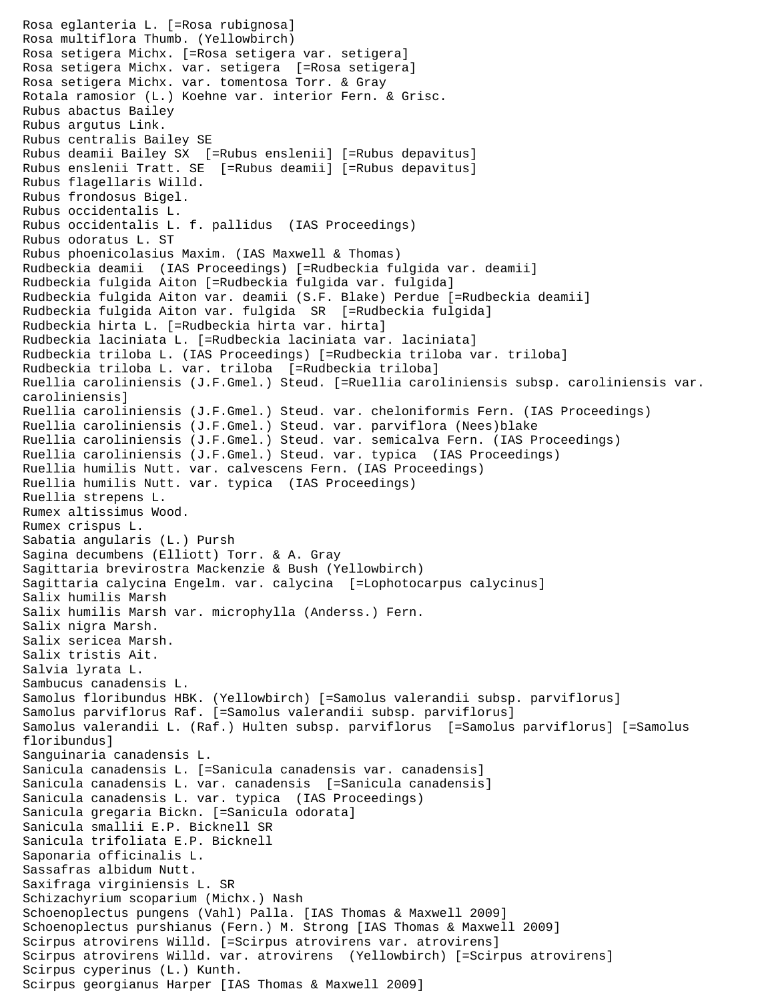```
Rosa eglanteria L. [=Rosa rubignosa]
Rosa multiflora Thumb. (Yellowbirch)
Rosa setigera Michx. [=Rosa setigera var. setigera]
Rosa setigera Michx. var. setigera [=Rosa setigera]
Rosa setigera Michx. var. tomentosa Torr. & Gray
Rotala ramosior (L.) Koehne var. interior Fern. & Grisc.
Rubus abactus Bailey
Rubus argutus Link.
Rubus centralis Bailey SE
Rubus deamii Bailey SX [=Rubus enslenii] [=Rubus depavitus]
Rubus enslenii Tratt. SE [=Rubus deamii] [=Rubus depavitus]
Rubus flagellaris Willd.
Rubus frondosus Bigel.
Rubus occidentalis L.
Rubus occidentalis L. f. pallidus (IAS Proceedings)
Rubus odoratus L. ST
Rubus phoenicolasius Maxim. (IAS Maxwell & Thomas)
Rudbeckia deamii (IAS Proceedings) [=Rudbeckia fulgida var. deamii]
Rudbeckia fulgida Aiton [=Rudbeckia fulgida var. fulgida]
Rudbeckia fulgida Aiton var. deamii (S.F. Blake) Perdue [=Rudbeckia deamii]
Rudbeckia fulgida Aiton var. fulgida SR [=Rudbeckia fulgida]
Rudbeckia hirta L. [=Rudbeckia hirta var. hirta]
Rudbeckia laciniata L. [=Rudbeckia laciniata var. laciniata]
Rudbeckia triloba L. (IAS Proceedings) [=Rudbeckia triloba var. triloba]
Rudbeckia triloba L. var. triloba [=Rudbeckia triloba]
Ruellia caroliniensis (J.F.Gmel.) Steud. [=Ruellia caroliniensis subsp. caroliniensis var. 
caroliniensis]
Ruellia caroliniensis (J.F.Gmel.) Steud. var. cheloniformis Fern. (IAS Proceedings)
Ruellia caroliniensis (J.F.Gmel.) Steud. var. parviflora (Nees)blake
Ruellia caroliniensis (J.F.Gmel.) Steud. var. semicalva Fern. (IAS Proceedings)
Ruellia caroliniensis (J.F.Gmel.) Steud. var. typica (IAS Proceedings)
Ruellia humilis Nutt. var. calvescens Fern. (IAS Proceedings)
Ruellia humilis Nutt. var. typica (IAS Proceedings)
Ruellia strepens L.
Rumex altissimus Wood.
Rumex crispus L.
Sabatia angularis (L.) Pursh
Sagina decumbens (Elliott) Torr. & A. Gray
Sagittaria brevirostra Mackenzie & Bush (Yellowbirch)
Sagittaria calycina Engelm. var. calycina [=Lophotocarpus calycinus]
Salix humilis Marsh
Salix humilis Marsh var. microphylla (Anderss.) Fern.
Salix nigra Marsh.
Salix sericea Marsh.
Salix tristis Ait.
Salvia lyrata L.
Sambucus canadensis L.
Samolus floribundus HBK. (Yellowbirch) [=Samolus valerandii subsp. parviflorus]
Samolus parviflorus Raf. [=Samolus valerandii subsp. parviflorus]
Samolus valerandii L. (Raf.) Hulten subsp. parviflorus [=Samolus parviflorus] [=Samolus 
floribundus]
Sanguinaria canadensis L.
Sanicula canadensis L. [=Sanicula canadensis var. canadensis]
Sanicula canadensis L. var. canadensis [=Sanicula canadensis]
Sanicula canadensis L. var. typica (IAS Proceedings)
Sanicula gregaria Bickn. [=Sanicula odorata]
Sanicula smallii E.P. Bicknell SR
Sanicula trifoliata E.P. Bicknell
Saponaria officinalis L.
Sassafras albidum Nutt.
Saxifraga virginiensis L. SR 
Schizachyrium scoparium (Michx.) Nash
Schoenoplectus pungens (Vahl) Palla. [IAS Thomas & Maxwell 2009]
Schoenoplectus purshianus (Fern.) M. Strong [IAS Thomas & Maxwell 2009]
Scirpus atrovirens Willd. [=Scirpus atrovirens var. atrovirens]
Scirpus atrovirens Willd. var. atrovirens (Yellowbirch) [=Scirpus atrovirens]
Scirpus cyperinus (L.) Kunth.
Scirpus georgianus Harper [IAS Thomas & Maxwell 2009]
```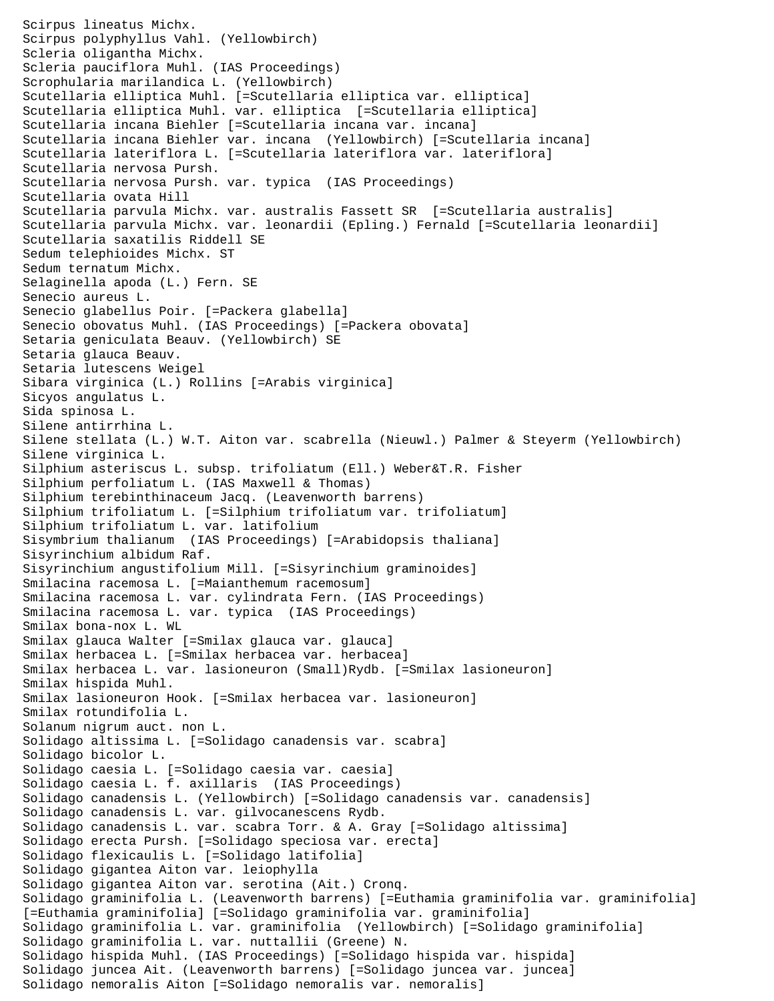Scirpus lineatus Michx. Scirpus polyphyllus Vahl. (Yellowbirch) Scleria oligantha Michx. Scleria pauciflora Muhl. (IAS Proceedings) Scrophularia marilandica L. (Yellowbirch) Scutellaria elliptica Muhl. [=Scutellaria elliptica var. elliptica] Scutellaria elliptica Muhl. var. elliptica [=Scutellaria elliptica] Scutellaria incana Biehler [=Scutellaria incana var. incana] Scutellaria incana Biehler var. incana (Yellowbirch) [=Scutellaria incana] Scutellaria lateriflora L. [=Scutellaria lateriflora var. lateriflora] Scutellaria nervosa Pursh. Scutellaria nervosa Pursh. var. typica (IAS Proceedings) Scutellaria ovata Hill Scutellaria parvula Michx. var. australis Fassett SR [=Scutellaria australis] Scutellaria parvula Michx. var. leonardii (Epling.) Fernald [=Scutellaria leonardii] Scutellaria saxatilis Riddell SE Sedum telephioides Michx. ST Sedum ternatum Michx. Selaginella apoda (L.) Fern. SE Senecio aureus L. Senecio glabellus Poir. [=Packera glabella] Senecio obovatus Muhl. (IAS Proceedings) [=Packera obovata] Setaria geniculata Beauv. (Yellowbirch) SE Setaria glauca Beauv. Setaria lutescens Weigel Sibara virginica (L.) Rollins [=Arabis virginica] Sicyos angulatus L. Sida spinosa L. Silene antirrhina L. Silene stellata (L.) W.T. Aiton var. scabrella (Nieuwl.) Palmer & Steyerm (Yellowbirch) Silene virginica L. Silphium asteriscus L. subsp. trifoliatum (Ell.) Weber&T.R. Fisher Silphium perfoliatum L. (IAS Maxwell & Thomas) Silphium terebinthinaceum Jacq. (Leavenworth barrens) Silphium trifoliatum L. [=Silphium trifoliatum var. trifoliatum] Silphium trifoliatum L. var. latifolium Sisymbrium thalianum (IAS Proceedings) [=Arabidopsis thaliana] Sisyrinchium albidum Raf. Sisyrinchium angustifolium Mill. [=Sisyrinchium graminoides] Smilacina racemosa L. [=Maianthemum racemosum] Smilacina racemosa L. var. cylindrata Fern. (IAS Proceedings) Smilacina racemosa L. var. typica (IAS Proceedings) Smilax bona-nox L. WL Smilax glauca Walter [=Smilax glauca var. glauca] Smilax herbacea L. [=Smilax herbacea var. herbacea] Smilax herbacea L. var. lasioneuron (Small)Rydb. [=Smilax lasioneuron] Smilax hispida Muhl. Smilax lasioneuron Hook. [=Smilax herbacea var. lasioneuron] Smilax rotundifolia L. Solanum nigrum auct. non L. Solidago altissima L. [=Solidago canadensis var. scabra] Solidago bicolor L. Solidago caesia L. [=Solidago caesia var. caesia] Solidago caesia L. f. axillaris (IAS Proceedings) Solidago canadensis L. (Yellowbirch) [=Solidago canadensis var. canadensis] Solidago canadensis L. var. gilvocanescens Rydb. Solidago canadensis L. var. scabra Torr. & A. Gray [=Solidago altissima] Solidago erecta Pursh. [=Solidago speciosa var. erecta] Solidago flexicaulis L. [=Solidago latifolia] Solidago gigantea Aiton var. leiophylla Solidago gigantea Aiton var. serotina (Ait.) Cronq. Solidago graminifolia L. (Leavenworth barrens) [=Euthamia graminifolia var. graminifolia] [=Euthamia graminifolia] [=Solidago graminifolia var. graminifolia] Solidago graminifolia L. var. graminifolia (Yellowbirch) [=Solidago graminifolia] Solidago graminifolia L. var. nuttallii (Greene) N. Solidago hispida Muhl. (IAS Proceedings) [=Solidago hispida var. hispida] Solidago juncea Ait. (Leavenworth barrens) [=Solidago juncea var. juncea] Solidago nemoralis Aiton [=Solidago nemoralis var. nemoralis]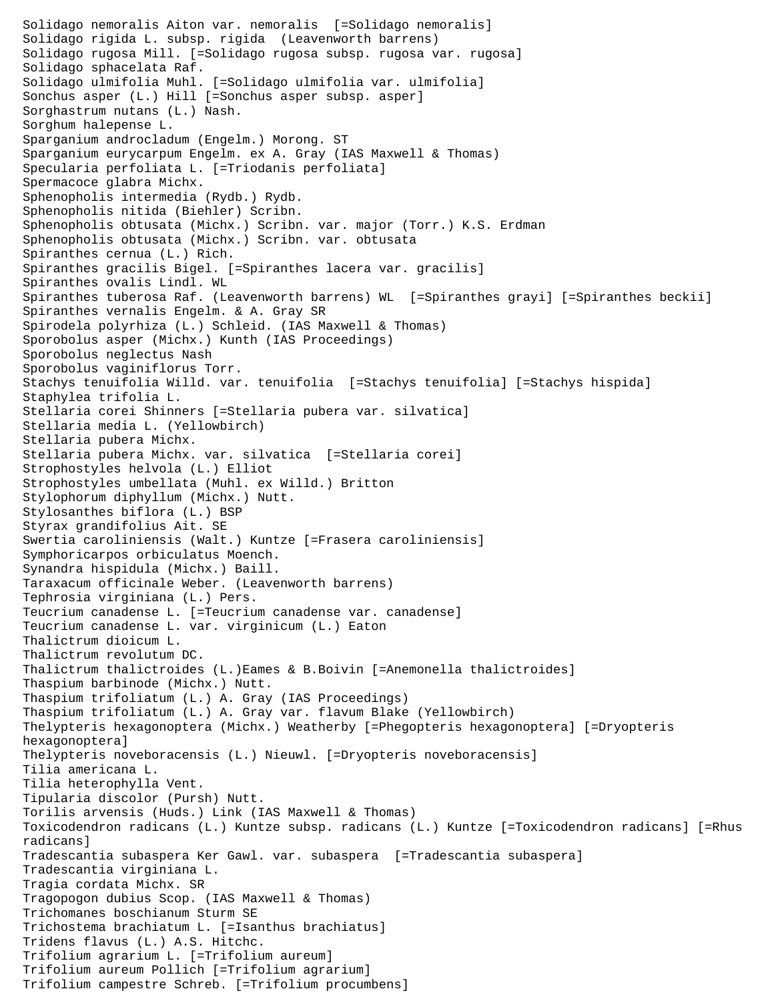Solidago nemoralis Aiton var. nemoralis [=Solidago nemoralis] Solidago rigida L. subsp. rigida (Leavenworth barrens) Solidago rugosa Mill. [=Solidago rugosa subsp. rugosa var. rugosa] Solidago sphacelata Raf. Solidago ulmifolia Muhl. [=Solidago ulmifolia var. ulmifolia] Sonchus asper (L.) Hill [=Sonchus asper subsp. asper] Sorghastrum nutans (L.) Nash. Sorghum halepense L. Sparganium androcladum (Engelm.) Morong. ST Sparganium eurycarpum Engelm. ex A. Gray (IAS Maxwell & Thomas) Specularia perfoliata L. [=Triodanis perfoliata] Spermacoce glabra Michx. Sphenopholis intermedia (Rydb.) Rydb. Sphenopholis nitida (Biehler) Scribn. Sphenopholis obtusata (Michx.) Scribn. var. major (Torr.) K.S. Erdman Sphenopholis obtusata (Michx.) Scribn. var. obtusata Spiranthes cernua (L.) Rich. Spiranthes gracilis Bigel. [=Spiranthes lacera var. gracilis] Spiranthes ovalis Lindl. WL Spiranthes tuberosa Raf. (Leavenworth barrens) WL [=Spiranthes grayi] [=Spiranthes beckii] Spiranthes vernalis Engelm. & A. Gray SR Spirodela polyrhiza (L.) Schleid. (IAS Maxwell & Thomas) Sporobolus asper (Michx.) Kunth (IAS Proceedings) Sporobolus neglectus Nash Sporobolus vaginiflorus Torr. Stachys tenuifolia Willd. var. tenuifolia [=Stachys tenuifolia] [=Stachys hispida] Staphylea trifolia L. Stellaria corei Shinners [=Stellaria pubera var. silvatica] Stellaria media L. (Yellowbirch) Stellaria pubera Michx. Stellaria pubera Michx. var. silvatica [=Stellaria corei] Strophostyles helvola (L.) Elliot Strophostyles umbellata (Muhl. ex Willd.) Britton Stylophorum diphyllum (Michx.) Nutt. Stylosanthes biflora (L.) BSP Styrax grandifolius Ait. SE Swertia caroliniensis (Walt.) Kuntze [=Frasera caroliniensis] Symphoricarpos orbiculatus Moench. Synandra hispidula (Michx.) Baill. Taraxacum officinale Weber. (Leavenworth barrens) Tephrosia virginiana (L.) Pers. Teucrium canadense L. [=Teucrium canadense var. canadense] Teucrium canadense L. var. virginicum (L.) Eaton Thalictrum dioicum L. Thalictrum revolutum DC. Thalictrum thalictroides (L.)Eames & B.Boivin [=Anemonella thalictroides] Thaspium barbinode (Michx.) Nutt. Thaspium trifoliatum (L.) A. Gray (IAS Proceedings) Thaspium trifoliatum (L.) A. Gray var. flavum Blake (Yellowbirch) Thelypteris hexagonoptera (Michx.) Weatherby [=Phegopteris hexagonoptera] [=Dryopteris hexagonoptera] Thelypteris noveboracensis (L.) Nieuwl. [=Dryopteris noveboracensis] Tilia americana L. Tilia heterophylla Vent. Tipularia discolor (Pursh) Nutt. Torilis arvensis (Huds.) Link (IAS Maxwell & Thomas) Toxicodendron radicans (L.) Kuntze subsp. radicans (L.) Kuntze [=Toxicodendron radicans] [=Rhus radicans] Tradescantia subaspera Ker Gawl. var. subaspera [=Tradescantia subaspera] Tradescantia virginiana L. Tragia cordata Michx. SR Tragopogon dubius Scop. (IAS Maxwell & Thomas) Trichomanes boschianum Sturm SE Trichostema brachiatum L. [=Isanthus brachiatus] Tridens flavus (L.) A.S. Hitchc. Trifolium agrarium L. [=Trifolium aureum] Trifolium aureum Pollich [=Trifolium agrarium] Trifolium campestre Schreb. [=Trifolium procumbens]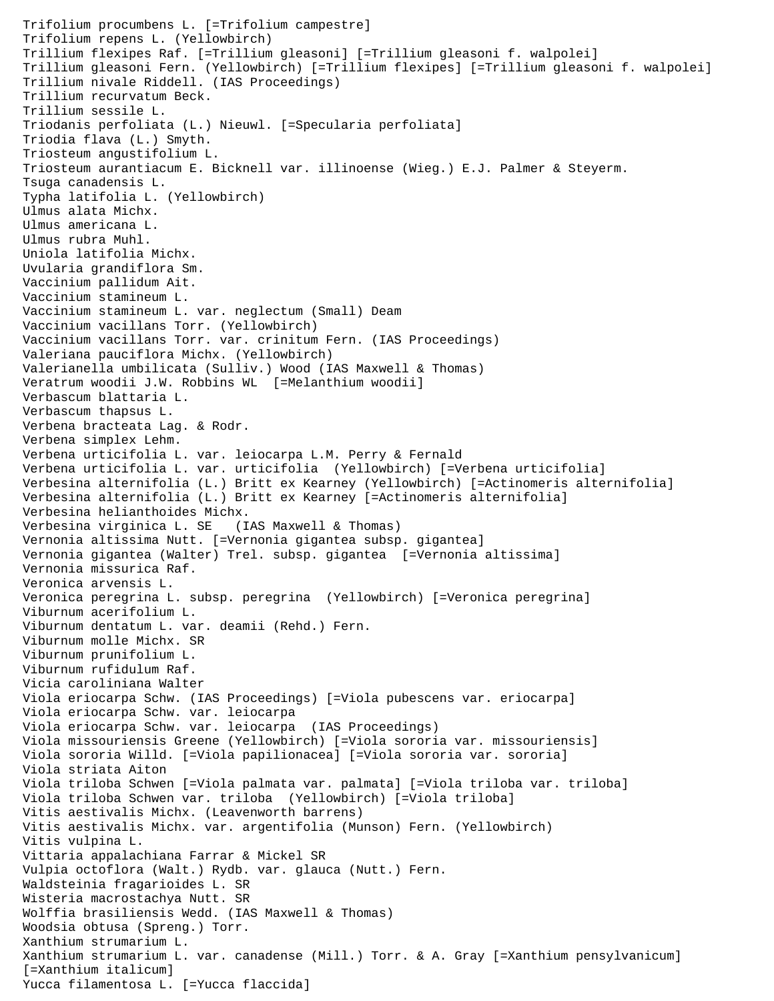```
Trifolium procumbens L. [=Trifolium campestre]
Trifolium repens L. (Yellowbirch)
Trillium flexipes Raf. [=Trillium gleasoni] [=Trillium gleasoni f. walpolei]
Trillium gleasoni Fern. (Yellowbirch) [=Trillium flexipes] [=Trillium gleasoni f. walpolei]
Trillium nivale Riddell. (IAS Proceedings)
Trillium recurvatum Beck.
Trillium sessile L.
Triodanis perfoliata (L.) Nieuwl. [=Specularia perfoliata]
Triodia flava (L.) Smyth.
Triosteum angustifolium L.
Triosteum aurantiacum E. Bicknell var. illinoense (Wieg.) E.J. Palmer & Steyerm.
Tsuga canadensis L.
Typha latifolia L. (Yellowbirch)
Ulmus alata Michx.
Ulmus americana L.
Ulmus rubra Muhl.
Uniola latifolia Michx.
Uvularia grandiflora Sm.
Vaccinium pallidum Ait.
Vaccinium stamineum L.
Vaccinium stamineum L. var. neglectum (Small) Deam
Vaccinium vacillans Torr. (Yellowbirch)
Vaccinium vacillans Torr. var. crinitum Fern. (IAS Proceedings)
Valeriana pauciflora Michx. (Yellowbirch)
Valerianella umbilicata (Sulliv.) Wood (IAS Maxwell & Thomas)
Veratrum woodii J.W. Robbins WL [=Melanthium woodii]
Verbascum blattaria L.
Verbascum thapsus L.
Verbena bracteata Lag. & Rodr.
Verbena simplex Lehm.
Verbena urticifolia L. var. leiocarpa L.M. Perry & Fernald
Verbena urticifolia L. var. urticifolia (Yellowbirch) [=Verbena urticifolia]
Verbesina alternifolia (L.) Britt ex Kearney (Yellowbirch) [=Actinomeris alternifolia]
Verbesina alternifolia (L.) Britt ex Kearney [=Actinomeris alternifolia]
Verbesina helianthoides Michx.
Verbesina virginica L. SE (IAS Maxwell & Thomas)
Vernonia altissima Nutt. [=Vernonia gigantea subsp. gigantea]
Vernonia gigantea (Walter) Trel. subsp. gigantea [=Vernonia altissima]
Vernonia missurica Raf.
Veronica arvensis L.
Veronica peregrina L. subsp. peregrina (Yellowbirch) [=Veronica peregrina]
Viburnum acerifolium L.
Viburnum dentatum L. var. deamii (Rehd.) Fern.
Viburnum molle Michx. SR
Viburnum prunifolium L.
Viburnum rufidulum Raf.
Vicia caroliniana Walter
Viola eriocarpa Schw. (IAS Proceedings) [=Viola pubescens var. eriocarpa]
Viola eriocarpa Schw. var. leiocarpa
Viola eriocarpa Schw. var. leiocarpa (IAS Proceedings)
Viola missouriensis Greene (Yellowbirch) [=Viola sororia var. missouriensis]
Viola sororia Willd. [=Viola papilionacea] [=Viola sororia var. sororia]
Viola striata Aiton
Viola triloba Schwen [=Viola palmata var. palmata] [=Viola triloba var. triloba]
Viola triloba Schwen var. triloba (Yellowbirch) [=Viola triloba]
Vitis aestivalis Michx. (Leavenworth barrens)
Vitis aestivalis Michx. var. argentifolia (Munson) Fern. (Yellowbirch)
Vitis vulpina L.
Vittaria appalachiana Farrar & Mickel SR
Vulpia octoflora (Walt.) Rydb. var. glauca (Nutt.) Fern.
Waldsteinia fragarioides L. SR
Wisteria macrostachya Nutt. SR
Wolffia brasiliensis Wedd. (IAS Maxwell & Thomas)
Woodsia obtusa (Spreng.) Torr.
Xanthium strumarium L.
Xanthium strumarium L. var. canadense (Mill.) Torr. & A. Gray [=Xanthium pensylvanicum] 
[=Xanthium italicum]
Yucca filamentosa L. [=Yucca flaccida]
```